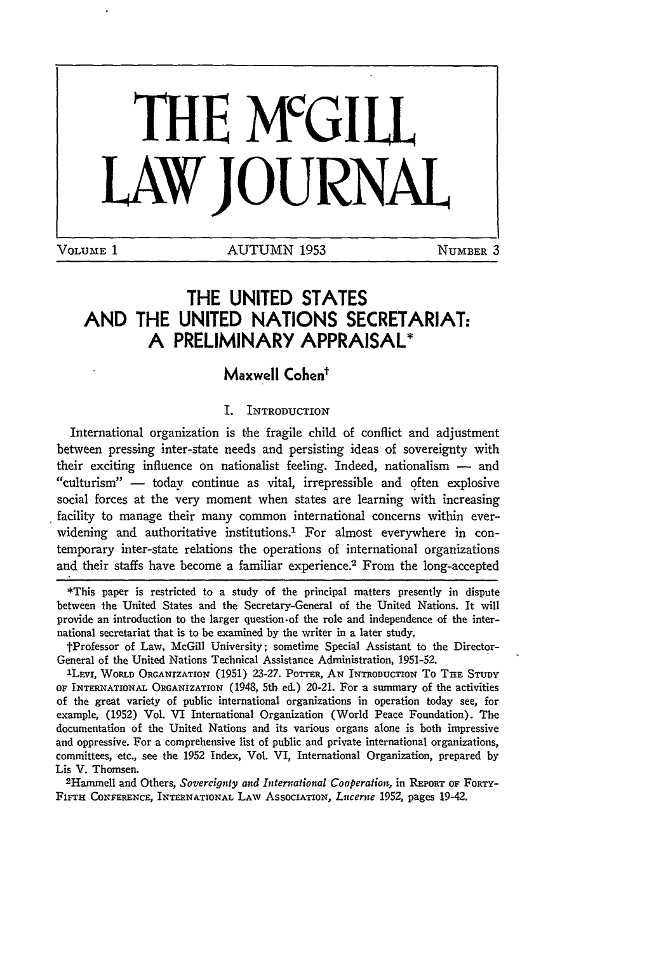

# THE **UNITED STATES AND** THE **UNITED NATIONS** SECRETARIAT: **A** PRELIMINARY APPRAISAL\*

# **Maxwell Cohen'**

#### I. INTRODUCTION

International organization is the fragile child of conflict and adjustment between pressing inter-state needs and persisting ideas of sovereignty with their exciting influence on nationalist feeling. Indeed, nationalism - and "culturism" - today continue as vital, irrepressible and often explosive social forces at the very moment when states are learning with increasing facility to manage their many common international concerns within everwidening and authoritative institutions.<sup>1</sup> For almost everywhere in contemporary inter-state relations the operations of international organizations and their staffs have become a familiar experience.<sup>2</sup> From the long-accepted

\*This paper is restricted to a study of the principal matters presently in dispute between the United States and the Secretary-General of the United Nations. It will provide an introduction to the larger question.of the role and independence of the international secretariat that is to be examined by the writer in a later study.

fProfessor of Law, McGill University; sometime Special Assistant to the Director-General of the United Nations Technical Assistance Administration, 1951-52.

LEvi, WORLD ORGANIZATION (1951) 23-27. POTTER, **AN** INTRODUCTION To **THE STUDY** OF INTERNATIONAL ORGANIZATION (1948, 5th ed.) 20-21. For a summary of the activities of the great variety of public international organizations in operation today see, for example, (1952) Vol. VI International Organization (World Peace Foundation). The documentation of the United Nations and its various organs alone is both impressive and oppressive. For a comprehensive list of public and private international organizations, committees, etc., see the **1952** Index, Vol. VI, International Organization, prepared by Lis V. Thomsen.

Hammell and Others, *Sovereignty and International Cooperatio,* in REPORT **OF** FORTY-**FIFTH CONFERENCE,** INTERNATIONAL LAW AssocIATIoN, *Lucerne* 1952, pages 19-42.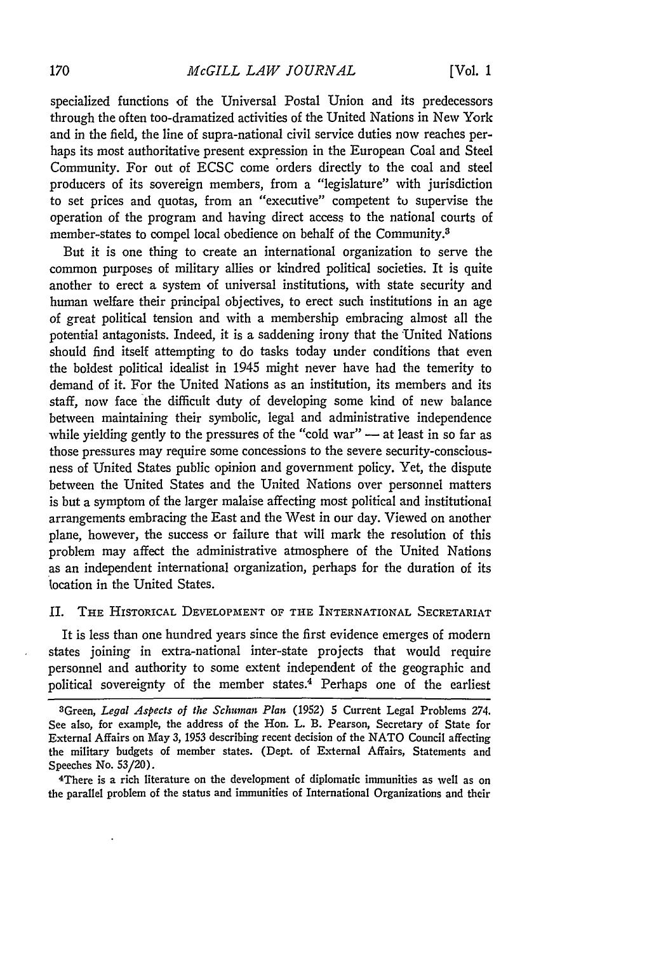specialized functions of the Universal Postal Union and its predecessors through the often too-dramatized activities of the United Nations in New York and in the field, the line of supra-national civil service duties now reaches perhaps its most authoritative present expression in the European Coal and Steel Community. For out of ECSC come orders directly to the coal and steel producers of its sovereign members, from a "legislature" with jurisdiction to set prices and quotas, from an "executive" competent to supervise the operation of the program and having direct access to the national courts of member-states to compel local obedience on behalf of the Community.<sup>3</sup>

But it is one thing to create an international organization to serve the common purposes of military allies or kindred political societies. It is quite another to erect a system of universal institutions, with state security and human welfare their principal objectives, to erect such institutions in an age of great political tension and with a membership embracing almost all the potential antagonists. Indeed, it is a saddening irony that the United Nations should find itself attempting to do tasks today under conditions that even the boldest political idealist in 1945 might never have had the temerity to demand of it. For the United Nations as an institution, its members and its staff, now face the difficult duty of developing some kind of new balance between maintaining their symbolic, legal and administrative independence while yielding gently to the pressures of the "cold war"  $-$  at least in so far as those pressures may require some concessions to the severe security-consciousness of United States public opinion and government policy. Yet, the dispute between the United States and the United Nations over personnel matters is but a symptom of the larger malaise affecting most political and institutional arrangements embracing the East and the West in our day. Viewed on another plane, however, the success or failure that will mark the resolution of this problem may affect the administrative atmosphere of the United Nations as an independent international organization, perhaps for the duration of its location in the United States.

### II. THE HISTORICAL DEVELOPMENT OF THE INTERNATIONAL SECRETARIAT

It is less than one hundred years since the first evidence emerges of modern states joining in extra-national inter-state projects that would require personnel and authority to some extent independent of the geographic and political sovereignty of the member states.4 Perhaps one of the earliest

<sup>3</sup>Green, *Legal Aspects of the Schuinan Plan* (1952) 5 Current Legal Problems 274. See also, for example, the address of the Hon. L. B. Pearson, Secretary of State for External Affairs on May **3,** 1953 describing recent decision of the **NATO** Council affecting the military budgets of member states. (Dept. of External Affairs, Statements and Speeches No. **53/20).**

<sup>4</sup>There is a rich literature on the development of diplomatic immunities as well as on the parallel problem of the status and immunities of International Organizations and their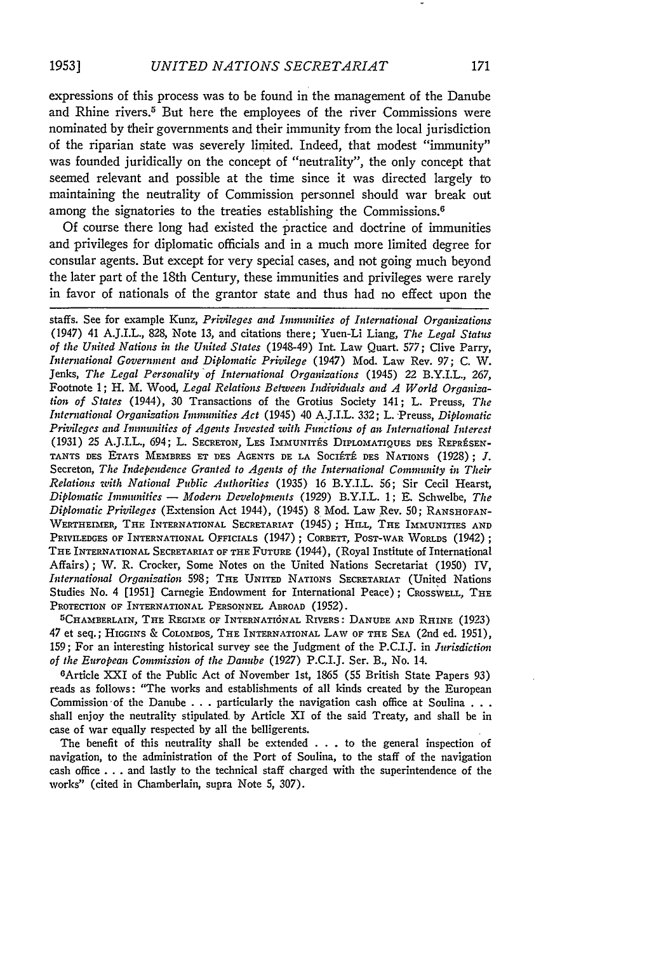expressions of this process was to be found in the management of the Danube and Rhine rivers.<sup>5</sup> But here the employees of the river Commissions were nominated **by** their governments and their immunity from the local jurisdiction of the riparian state was severely limited. Indeed, that modest "immunity" was founded juridically on the concept of "neutrality", the only concept that seemed relevant and possible at the time since it was directed largely to maintaining the neutrality of Commission personnel should war break out among the signatories to the treaties establishing the Commissions.<sup>6</sup>

Of course there long had existed the practice and doctrine of immunities and privileges for diplomatic officials and in a much more limited degree for consular agents. But except for very special cases, and not going much beyond the later part of the 18th Century, these immunities and privileges were rarely in favor of nationals of the grantor state and thus had no effect upon the

staffs. See for example Kunz, *Privileges and Immunities of International Organizations* (1947) 41 A.J.I.L., 828, Note 13, and citations there; Yuen-Li Liang, *The Legal Status of the United Nations in the United States* (1948-49) Int. Law Quart. *577;* Clive Parry, *International Government and Diplomatic Privilege* (1947) Mod. Law Rev. 97; C. W. Jenks, *The Legal Personality of International Organizations* (1945) 22 B.Y.I.L., *267,* Footnote 1; H. M. Wood, *Legal Relations Between Individuals and A World Organization of States* (1944), 30 Transactions of the Grotius Society 141; L. Preuss, *The International Organization Immunities Act* (1945) 40 A:J.I.L. 332; L. -Preuss, *Diplomatic Privileges and Immunities of Agents Invested with Functions of an International Interest* (1931) **25 A.J.I.L.,** 694; L. **SECRETON,** LES **IMMUNITAS DIPLOmATIQUES** DES REPRESEN-TANTS DES ETATS MEMBRES ET DES AGENTS DE LA SOCIÉTÉ DES NATIONS (1928); *J.* Secreton, *The Independence Granted to Agents of the International Community in Their Relations with National Public Authorities* (1935) 16 B.Y.I.L. 56; Sir Cecil Hearst, *Diplomatic Immunities - Modern Developments* (1929) B.Y.I.L. 1; E. Schwelbe, *The Diplomatic Privileges* (Extension Act 1944), (1945) 8 Mod. Law Rev. 50; **RANSHOFAN-**WERTHEIMER, THE INTERNATIONAL SECRETARIAT (1945); HILL, THE IMMUNITIES **AND** PRIVILEDGES OF INTERNATIONAL OFFICIALS (1947) ; CORBETT, POST-WAR WORLDS (1942) ; THE INTERNATIONAL SECRETARIAT OF THE **FUTURE** (1944), (Royal Institute of International Affairs) ; W. R. Crocker, Some Notes on the United Nations Secretariat (1950) IV, *International Organization* 598; THE UNITED NATIONS **SECRETARIAT** (United Nations Studies No. 4 [1951] Carnegie Endowment for International Peace); CROSSWELL, THE PROTECTION **OF** INTERNATIONAL **PERSONNEL** ABROAD (1952).

**<sup>5</sup> CHAMBERLAIN, THE REGIME OF INTERNATI6NAL RIVERS: DANUBE AND RHINE (1923)** *47* et seq.; **HIGGINS** & **COLoMBOS,** THE INTERNATIONAL LAW OF THE **SEA** (2nd ed. 1951), **159; For an** interesting historical survey see **the** Judgment of the P.C.I.J. in *Jurisdiction of the European Commission of the Danube* (1927) P.C.I.J. Ser. B., No. 14.

<sup>6</sup>Article XXI of the Public Act of November 1st, 1865 (55 British State Papers 93) reads as follows: "The works and establishments of all kinds created by the European Commission of the Dambe . .. particularly the navigation cash office at Soulina **. ..** shall enjoy the neutrality stipulated. by Article XI **of** the said Treaty, and shall be in case of war equally respected by all the belligerents.

The benefit of this neutrality shall be extended . . . to the general inspection of navigation, to the administration of the Port of Soulina, to the staff of the navigation cash office **...** and lastly to the technical staff charged with the superintendence of the works" (cited in Chamberlain, supra Note 5, 307).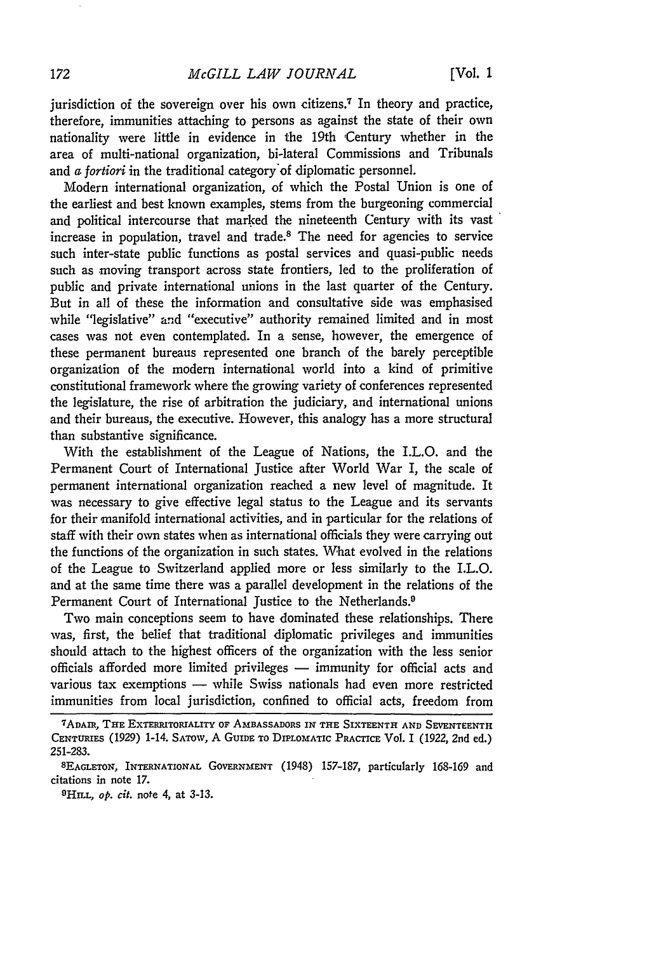jurisdiction of the sovereign over his own citizens.<sup>7</sup> In theory and practice, therefore, immunities attaching to persons as against the state of their own nationality were little in evidence in the 19th Century whether in the area of multi-national organization, bi-lateral Commissions and Tribunals and *a fortiori* in the traditional category'of diplomatic personnel.

Modern international organization, of which the Postal Union is one of the earliest and best known examples, stems from the burgeoning commercial and political intercourse that marked the nineteenth Century with its vast increase in population, travel and trade.8 The need for agencies to service such inter-state public functions as postal services and quasi-public needs such as moving transport across state frontiers, led to the proliferation of public and private international unions in the last quarter of the Century. But in all of these the information and consultative side was emphasised while "legislative" and "executive" authority remained limited and in most cases was not even contemplated. In a sense, however, the emergence of these permanent bureaus represented one branch of the barely perceptible organization of the modern international world into a kind of primitive constitutional framework where the growing variety of conferences represented the legislature, the rise of arbitration the judiciary, and international unions and their bureaus, the executive. However, this analogy has a more structural than substantive significance.

With the establishment of the League of Nations, the I.L.O. and the Permanent Court of International Justice after World War I, the scale of permanent international organization reached a new level of magnitude. It was necessary to give effective legal status to the League and its servants for their manifold international activities, and in particular for the relations of staff with their own states when as international officials they were carrying out the functions of the organization in such states. What evolved in the relations of the League to Switzerland applied more or less similarly to the I.L.O. and at the same time there was a parallel development in the relations of the Permanent Court of International Justice to the Netherlands.<sup>9</sup>

Two main conceptions seem to have dominated these relationships. There was, first, the belief that traditional diplomatic privileges and immunities should attach to the highest officers of the organization with the less senior officials afforded more limited privileges  $-$  immunity for official acts and various tax exemptions **-** while Swiss nationals had even more restricted immunities from local jurisdiction, confined to official acts, freedom from

<sup>7</sup> ADAIR, **THE** EXTERRITOR1ALITY OF **AMBASSADORS IN THE** SIXTEENTH **AND** SEVENTEENTH **CENTURIES** (1929) 1-14. **SATOW,** A **GuIDE** TO **DIPLOMATIC** PRACTICE Vol. I (1922, 2nd ed.) 251-283. **<sup>8</sup> EAGLETON, INTERNATIONAL GOVERNMENT** (1948) 157-187, particularly 168-169 and

citations in note 17.

**<sup>9</sup> HILL,** *op.* cit. note 4, at 3-13.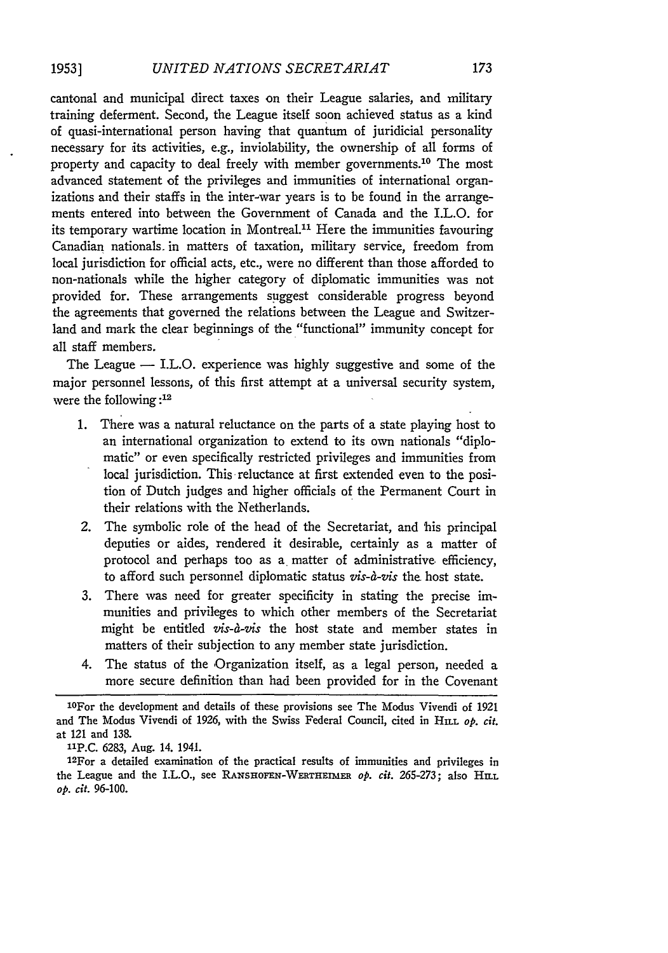cantonal and municipal direct taxes on their League salaries, and military training deferment. Second, the League itself soon achieved status as a kind of quasi-international person having that quantum of juridicial personality necessary for its activities, e.g., inviolability, the ownership of all forms of property and capacity to deal freely with member governments.<sup>10</sup> The most advanced statement of the privileges and immunities of international organizations and their staffs in the inter-war years is to be found in the arrangements entered into between the Government of Canada and the I.L.O. for its temporary wartime location in Montreal.<sup>11</sup> Here the immunities favouring Canadian nationals. in matters of taxation, military service, freedom from local jurisdiction for official acts, etc., were no different than those afforded to non-nationals while the higher category of diplomatic immunities was not provided for. These arrangements suggest considerable progress beyond the agreements that governed the relations between the League and Switzerland and mark the clear beginnings of the "functional" immunity concept for all staff members.

The League  $-$  I.L.O. experience was highly suggestive and some of the major personnel lessons, of this first attempt at a universal security system, were the following **:12**

- **1.** There was a natural reluctance on the parts of a state playing host to an international organization to extend to its own nationals "diplomatic" or even specifically restricted privileges and immunities from local jurisdiction. This reluctance at first extended even to the position of Dutch judges and higher officials of the Permanent Court in their relations with the Netherlands.
- 2. The symbolic role of the head of the Secretariat, and 'his principal deputies or aides, rendered it desirable, certainly as a matter of protocol and perhaps too as a matter of administrative, efficiency, to afford such personnel diplomatic status *vis-a-vis* the host state.
- **3.** There was need for greater specificity in stating the precise immunities and privileges to which other members of the Secretariat might be entitled *vis-a-vis* the host state and member states in matters of their subjection to any member state jurisdiction.
- 4. The status of the Organization itself, as a legal person, needed a more secure definition than had been provided for in the Covenant

**"P.C.** 6283, Aug. 14. 1941.

1 2For a detailed examination of the practical results of immunities and privileges in the League and the I.L.O., see RAxsia0FEN-WERTHEimER *op. cit.* 265-273; also **HILL** *op. cit.* **96-100.**

<sup>1</sup> 0For the development and details of these provisions see The Modus Vivendi of **<sup>1921</sup>** and The Modus Vivendi of 1926, with the Swiss Federal Council, cited in HiLL *op. cit.* at 121 and **138.**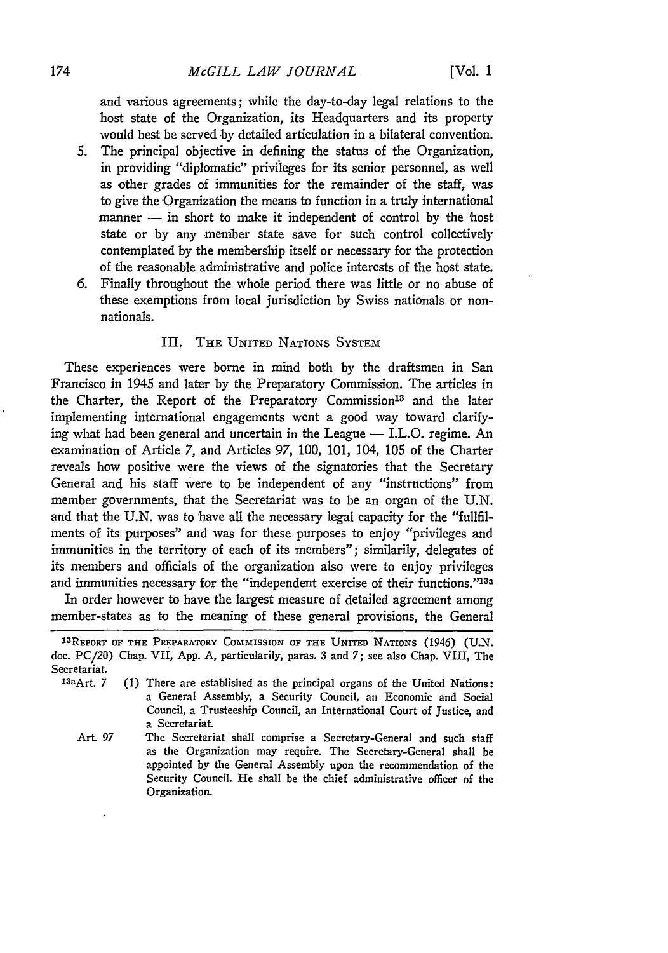and various agreements; while the day-to-day legal relations to the host state of the Organization, its Headquarters and its property would best be served by detailed articulation in a bilateral convention.

- 5. The principal objective in defining the status of the Organization, in providing "diplomatic" privileges for its senior personnel, as well as other grades of immunities for the remainder of the staff, was to give the Organization the means to function in a truly international  $m$ anner  $-$  in short to make it independent of control by the 'host' state or by any member state save for such control collectively contemplated by the membership itself or necessary for the protection of the reasonable administrative and police interests of the host state.
- 6. Finally throughout the whole period there was little or no abuse of these exemptions from local jurisdiction by Swiss nationals or nonnationals.

## III. THE UNITED NATIONS SYSTEM

These experiences were borne in mind both by the draftsmen in San Francisco in 1945 and later by the Preparatory Commission. The articles in the Charter, the Report of the Preparatory Commission<sup>13</sup> and the later implementing international engagements went a good way toward clarifying what had been general and uncertain in the League  $-$  I.L.O. regime. An examination of Article 7, and Articles 97, 100, 101, 104, 105 of the Charter reveals how positive were the views of the signatories that the Secretary General and his staff were to be independent of any "instructions" from member governments, that the Secretariat was to be an organ of the U.N. and that the U.N. was to have all the necessary legal capacity for the "fullfilments of its purposes" and was for these purposes to enjoy "privileges and immunities in the territory of each of its members"; similarily, delegates of its members and officials of the organization also were to enjoy privileges and immunities necessary for the "independent exercise of their functions."<sup>13a</sup>

In order however to have the largest measure of detailed agreement among member-states as to the meaning of these general provisions, the General

- **13** (1) There are established as the principal organs of the United Nations: a General Assembly, a Security Council, an Economic and Social Council, a Trusteeship Council, an International Court of Justice, and a Secretariat
	- Art. 97 The Secretariat shall comprise a Secretary-General and such staff as the Organization may require. The Secretary-General shall be appointed **by** the General Assembly upon the recommendation of the Security Council. He shall be the chief administrative officer **of** the Organization.

**<sup>1</sup> <sup>3</sup> REPORT** OF **THE** PREPARATORY **COMMISSION** OF **THE UNITED** NATIONS (1946) (U.N. doe. PC/20) Chap. VII, **App. A,** particularily, paras. **3** and 7; see also Chap. VIII, The Secretariat.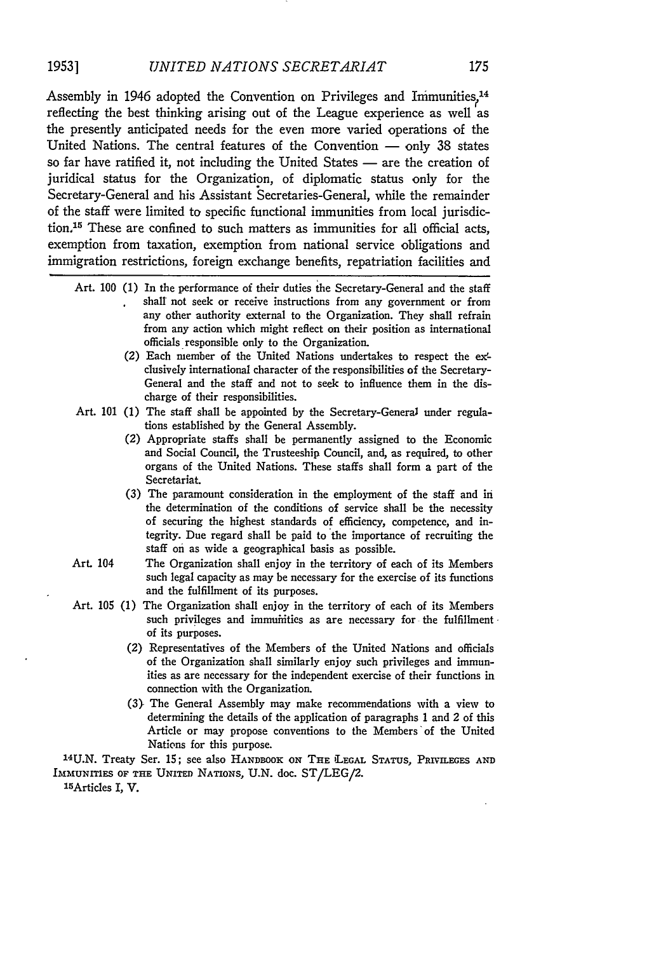Assembly in 1946 adopted the Convention on Privileges and Immunities,<sup>14</sup> reflecting the best thinking arising out of the League experience as well as the presently anticipated needs for the even more varied operations of the United Nations. The central features of the Convention  $-$  only 38 states so far have ratified it, not including the United States - are the creation of juridical status for the Organization, of diplomatic status only for the Secretary-General and his Assistant Secretaries-General, while the remainder of the staff were limited to specific functional immunities from local jurisdiction,'5 These are confined to such matters as immunities for all official acts, exemption from taxation, exemption from national service obligations and immigration restrictions, foreign exchange benefits, repatriation facilities and

- Art. 100 (1) In the performance of their duties the Secretary-General and the staff shall not seek or receive instructions from any government or from any other authority external to the Organization. They shall refrain from any action which might reflect on their position as international officials responsible only to the Organization.
	- (2) Each member of the United Nations undertakes to respect the exclusively international character of the responsibilities of the Secretary-General and the staff and not to seek to influence them in the discharge of their responsibilities.
- Art. 101 (1) The staff shall be appointed **by** the Secretary-General under regulations established **by** the General Assembly.
	- (2) Appropriate staffs shall be permanently assigned to the Economic and Social Council, the Trusteeship Council, and, as required, to other organs of the United Nations. These staffs shall form a part of the Secretariat.
	- (3) The paramount consideration in the employment of the staff and in the determination of the conditions of service shall be the necessity of securing the highest standards of efficiency, competence, and integrity. Due regard shall be paid to the importance of recruiting the staff on as wide a geographical basis as possible.
- Art. 104 The Organization shall enjoy in the territory of each of its Members such legal capacity as may be necessary for the exercise of its functions and the fulfillment of its purposes.
- Art. 105 (1) The Organization shall enjoy in the territory of each of its Members such privileges and immumities as are necessary for the fulfillment of its purposes.
	- (2) Representatives of the Members of the United Nations and officials of the Organization shall similarly enjoy such privileges and immunities as are necessary for the independent exercise of their functions in connection with the Organization.
	- (3> The General Assembly may make recommendations with a view to determining the details of the application of paragraphs 1 and 2 of this Article or may propose conventions to the Members'of the United Nations for this purpose.

**24U.N.** Treaty Ser. 15; see also **HANDBOOK** ON THE **LEGAL STATUS,** PRIVILEGES **AND IMMUNITIES OF THE UNITEn** NATIONS, U.N. doc. ST/LEG/2.

1 5Articles I, V.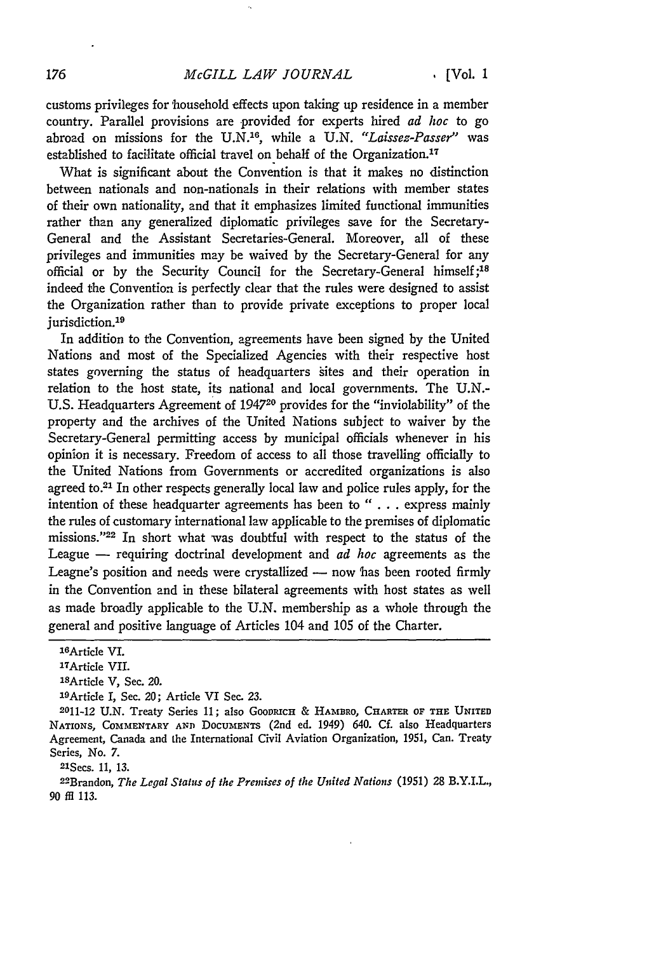customs privileges for household effects upon taking up residence in a member country. Parallel provisions are provided for experts hired *ad hoc* to go abroad on missions for the U.N.<sup>16</sup>, while a U.N. "Laissez-Passer" was established to facilitate official travel on behalf of the Organization.<sup>17</sup>

What is significant about the Convention is that it makes no distinction between nationals and non-nationals in their relations with member states of their own nationality, and that it emphasizes limited functional immunities rather than any generalized diplomatic privileges save for the Secretary-General and the Assistant Secretaries-General. Moreover, all of these privileges and immunities may be waived by the Secretary-General for any official or by the Security Council for the Secretary-General himself;<sup>18</sup> indeed the Convention is perfectly clear that the rules were designed to assist the Organization rather than to provide private exceptions to proper local jurisdiction.<sup>19</sup>

In addition to the Convention, agreements have been signed by the United Nations and most of the Specialized Agencies with their respective host states governing the status of headquarters sites and their operation in relation to the host state, its national and local governments. The U.N.- U.S. Headquarters Agreement of 194720 provides for the "inviolability" of the property and the archives of the United Nations subject to waiver by the Secretary-General permitting access by municipal officials whenever in his opinion it is necessary. Freedom of access to all those travelling officially to the United Nations from Governments or accredited organizations is also agreed to.21 In other respects generally local law and police rules apply, for the intention of these headquarter agreements has been to " . . . express mainly the rules of customary international law applicable to the premises of diplomatic missions. '22 In short what was doubtful with respect to the status of the League - requiring doctrinal development and *ad hoc* agreements as the Leagne's position and needs were crystallized - now has been rooted firmly in the Convention and in these bilateral agreements with host states as well as made broadly applicable to the U.N. membership as a whole through the general and positive language of Articles 104 and 105 of the Charter.

21Secs. 11, *13.*

22Brandon, *The Legal Status of the Premises of the United Nations* (1951) 28 B.Y.I.L., *90* fi 113.

<sup>1</sup> 6Article VI.

<sup>1</sup> TArticle VII.

<sup>18</sup>Article V, Sec. 20.

<sup>1</sup> 9 Article **I,** Sec. 20; Article VI Sec. **23.**

<sup>2011-12</sup> **U.N.** Treaty Series **11;** also **GOODRICH** & HAMBRO, CHARTR **OF THE UNITED** NATIONS, COMMENTARY AND **DOCUMENTS** (2nd ed. 1949) 640. Cf. also Headquarters Agreement, Canada and the International Civil Aviation Organization, 1951, Can. Treaty Series, No. *7.*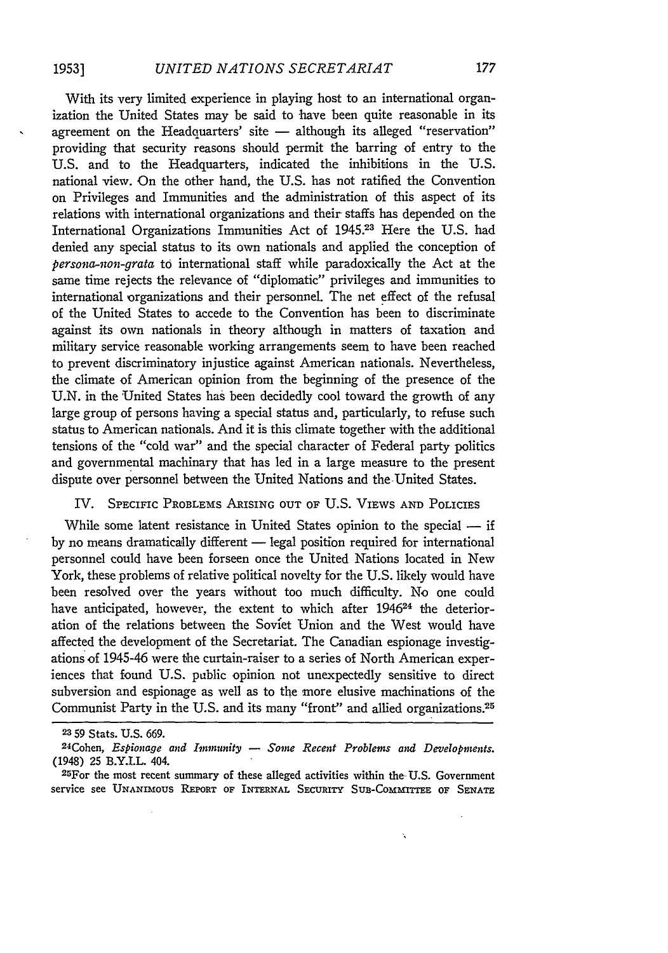With its very limited experience in playing host to an international organization the United States may be said to have been quite reasonable in its agreement on the Headquarters' site - although its alleged "reservation" providing that security reasons should permit the barring of entry to the U.S. and to the Headquarters, indicated the inhibitions in the U.S. national view. On the other hand, the U.S. has not ratified the Convention on Privileges and Immunities and the administration of this aspect of its relations with international organizations and their staffs has depended on the International Organizations Immunities Act of 1945.23 Here the U.S. had denied any special status to its own nationals and applied the conception of *persona-non-grata* to international staff while paradoxically the Act at the same time rejects the relevance of "diplomatic" privileges and immunities to international organizations and their personnel. The net effect of the refusal of the United States to accede to the Convention has been to discriminate against its own nationals in theory although in matters of taxation and military service reasonable working arrangements seem to have been reached to prevent discriminatory injustice against American nationals. Nevertheless, the climate of American opinion from the beginning of the presence of the U.N. in the 'United States has been decidedly cool toward the growth of any large group of persons having a special status and, particularly, to refuse such status to American nationals. And it is this climate together with the additional tensions of the "cold war" and the special character of Federal party politics and governmental machinary that has led in a large measure to the present dispute over personnel between the United Nations and the-United States.

### IV. SPECIFIC PROBLEMS ARISING **OUT** OF U.S. VIEWS **AND** POLICIES

While some latent resistance in United States opinion to the special - if by no means dramatically different - legal position required for international personnel could have been forseen once the United Nations located in New York, these problems of relative political novelty for the U.S. likely would have been resolved over the years without too much difficulty. No one could have anticipated, however, the extent to which after 1946<sup>24</sup> the deterioration of the relations between the Soviet Union and the West would have affected the development of the Secretariat. The Canadian espionage investigations of 1945-46 were the curtain-raiser to a series of North American experiences that found U.S. public opinion not unexpectedly sensitive to direct subversion and espionage as well as to the more elusive machinations of the Communist Party in the U.S. and its many "front" and allied organizations.<sup>25</sup>

 $\ddot{\phantom{a}}$ 

**<sup>23</sup>**59 Stats. U.S. 669.

<sup>24</sup>Cohen, *Espionage and Immunity - Some Recent Problems and Developments.* (1948) **25** B.Y.I.L. 404.

<sup>25</sup>For the most recent summary of these alleged activities within the- U.S. Government service see **UNANIoUs REPORT** OF INTERNAL SECURITY **SUB-CoMMITrEE** OF **SENATE**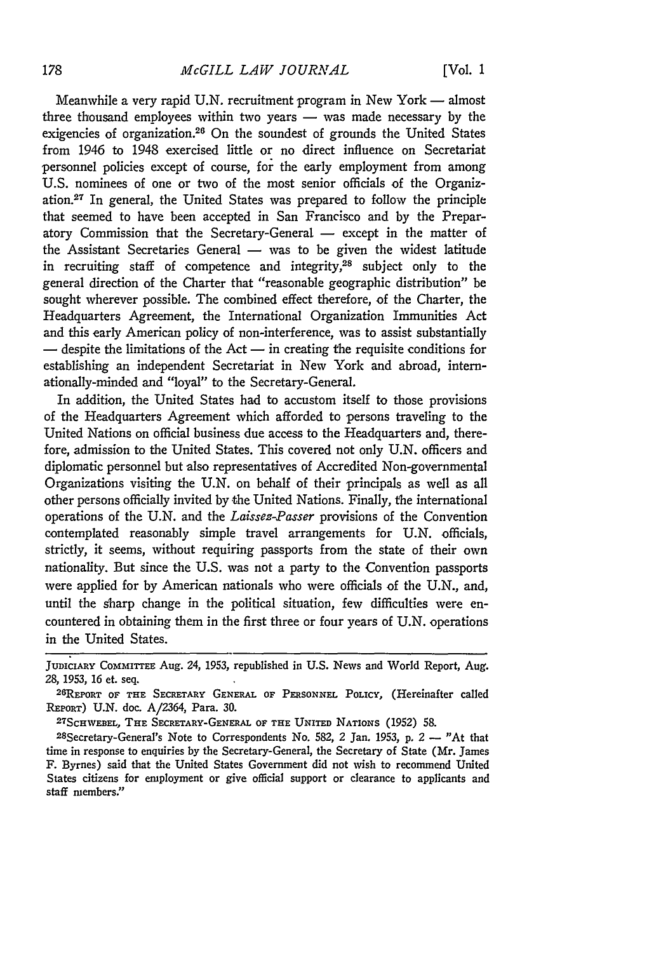Meanwhile a very rapid U.N. recruitment program in New York  $-$  almost three thousand employees within two years  $-$  was made necessary by the exigencies of organization.<sup>26</sup> On the soundest of grounds the United States from 1946 to 1948 exercised little or no direct influence on Secretariat personnel policies except of course, for the early employment from among U.S. nominees of one or two of the most senior officials of the Organization.<sup>27</sup> In general, the United States was prepared to follow the principle that seemed to have been accepted in San Francisco and by the Preparatory Commission that the Secretary-General - except in the matter of the Assistant Secretaries General  $-$  was to be given the widest latitude in recruiting staff of competence and integrity,28 subject only to the general direction of the Charter that "reasonable geographic distribution" be sought wherever possible. The combined effect therefore, of the Charter, the Headquarters Agreement, the International Organization Immunities Act and this early American policy of non-interference, was to assist substantially **-** despite the limitations of the Act **-** in creating the requisite conditions for establishing an independent Secretariat in New York and abroad, internationally-minded and "loyal" to the Secretary-General.

In addition, the United States had to accustom itself to those provisions of the Headquarters Agreement which afforded to persons traveling to the United Nations on official business due access to the Headquarters and, therefore, admission to the United States. This covered not only U.N. officers and diplomatic personnel but also representatives of Accredited Non-governmental Organizations visiting the U.N. on behalf of their principals as well as all other persons officially invited by the United Nations. Finally, the international operations of the U.N. and the *Laissez-Passer* provisions of the Convention contemplated reasonably simple travel arrangements for U.N. officials, strictly, it seems, without requiring passports from the state of their own nationality. But since the U.S. was not a party to the Convention passports were applied for by American nationals who were officials of the U.N., and, until the sharp change in the political situation, few difficulties were encountered in obtaining them in the first three or four years of U.N. operations in the United States.

**ScHWEBEL,** THE SECRETARY-GENERAL OF **THE** UNITED NATIONS (1952) 58.

28Secretary-General's Note to Correspondents No. 582, 2 Jan. 1953, p. 2 **-** "At that time in response to enquiries **by** the Secretary-General, the Secretary of State (Mr. James F. Byrnes) said that the United States Government did not wish to recommend United States citizens for employment or give official support or clearance to applicants and staff members."

JUDICIARY **COmmITrEE:** Aug. 24, 1953, republished in U.S. News and World Report, Aug. 28, 1953, 16 et. seq.

REPORT OF THE SECRETARY **GENERAL OF** PERSONNEL POLICY, (Hereinafter called REPORT) U.N. doc. A/2364, Para. **30. <sup>2</sup> <sup>7</sup>**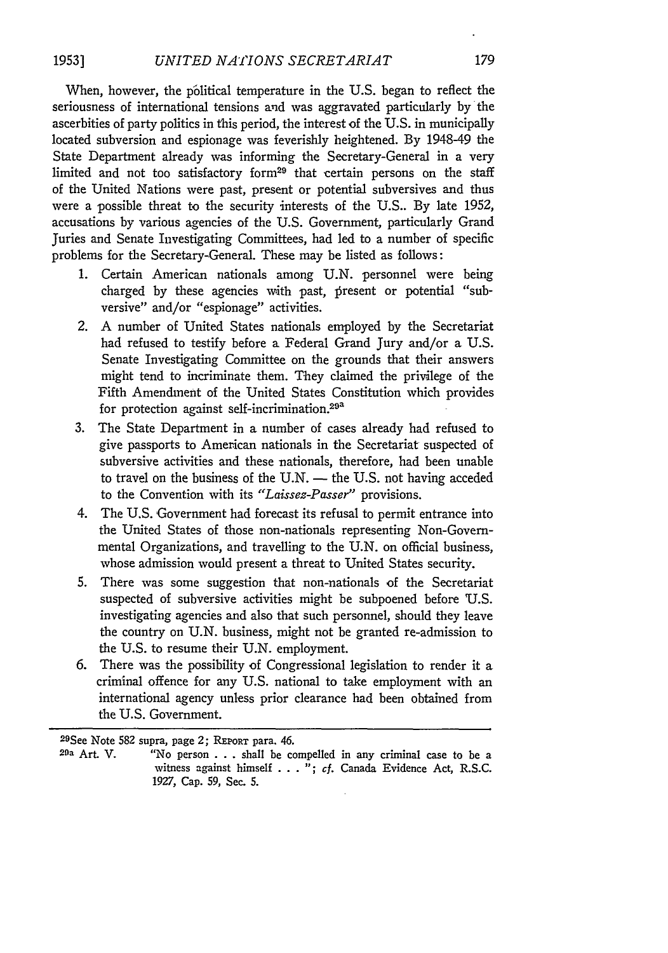When, however, the political temperature in the U.S. began to reflect the seriousness of international tensions and was aggravated particularly by the ascerbities of party politics in this period, the interest of the U.S. in municipally located subversion and espionage was feverishly heightened. By 194849 the State Department already was informing the Secretary-General in a very limited and not too satisfactory form<sup>29</sup> that certain persons on the staff of the United Nations were past, present or potential subversives and thus were a possible threat to the security interests of the U.S.. By late 1952, accusations by various agencies of the U.S. Government, particularly Grand Juries and Senate Investigating Committees, had led to a number of specific problems for the Secretary-General. These may be listed as follows:

- 1. Certain American nationals among U.N. personnel were being charged by these agencies with past, present or potential "subversive" and/or "espionage" activities.
- 2. A number of United States nationals employed by the Secretariat had refused to testify before a Federal Grand Jury and/or a U.S. Senate Investigating Committee on the grounds that their answers might tend to incriminate them. They claimed the privilege of the Fifth Amendment of the United States Constitution which provides for protection against self-incrimination.29a
- 3. The State Department in a number of cases already had refused to give passports to American nationals in the Secretariat suspected of subversive activities and these nationals, therefore, had been unable to travel on the business of the U.N.  $-$  the U.S. not having acceded to the Convention with its *"Laissez-Passer"* provisions.
- 4. The U.S. Government had forecast its refusal to permit entrance into the United States of those non-nationals representing Non-Governmental Organizations, and travelling to the U.N. on official business, whose admission would present a threat to United States security.
- 5. There was some suggestion that non-nationals of the Secretariat suspected of subversive activities might be subpoened before 'U.S. investigating agencies and also that such personnel, should they leave the country on U.N. business, might not be granted re-admission to the U.S. to resume their U.N. employment.
- 6. There was the possibility of Congressional legislation to render it a criminal offence for any U.S. national to take employment with an international agency unless prior clearance had been obtained from the U.S. Government.

<sup>29</sup>See Note **582** supra, page 2; REPORT para. 46.

<sup>29</sup>a Art. V. "No person . . . shall be compelled in any criminal case to be a witness against himself . . . "; cf. Canada Evidence Act, R.S.C. 1927, Cap. **59,** Sec. 5.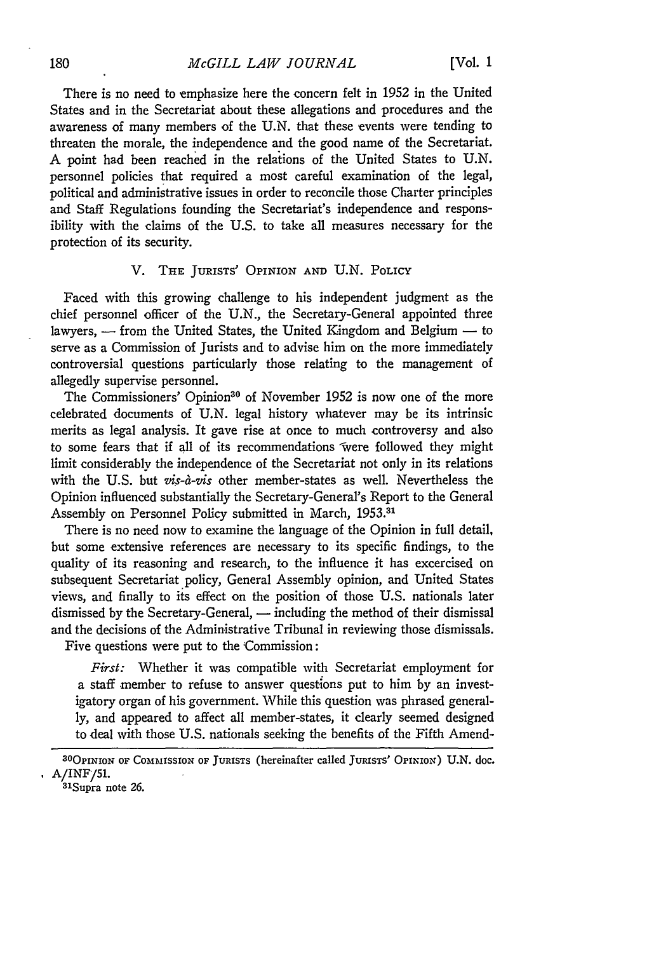There is no need to emphasize here the concern felt in 1952 in the United States and in the Secretariat about these allegations and procedures and the awareness of many members of the U.N. that these events were tending to threaten the morale, the independence and the good name of the Secretariat. A point had been reached in the relations of the United States to U.N. personnel policies that required a most careful examination of the legal, political and administrative issues in order to reconcile those Charter principles and Staff Regulations founding the Secretariat's independence and responsibility with the claims of the U.S. to take all measures necessary for the protection of its security.

### V. THE **JURISTS'** OPINION **AND** U.N. POLICY

Faced with this growing challenge to his independent judgment as the chief personnel officer of the U.N., the Secretary-General appointed three lawyers, - from the United States, the United Kingdom and Belgium - to serve as a Commission of Jurists and to advise him on the more immediately controversial questions particularly those relating to the management of allegedly supervise personnel.

The Commissioners' Opinion<sup>30</sup> of November 1952 is now one of the more celebrated documents of U.N. legal history whatever may be its intrinsic merits as legal analysis. It gave rise at once to much controversy and also to some fears that if all of its recommendations were followed they might limit considerably the independence of the Secretariat not only in its relations with the U.S. but vis-à-vis other member-states as well. Nevertheless the Opinion influenced substantially the Secretary-General's Report to the General Assembly on Personnel Policy submitted in March, **1953.31**

There is no need now to examine the language of the Opinion in full detail, but some extensive references are necessary to its specific findings, to the quality of its reasoning and research, to the influence it has excercised on subsequent Secretariat policy, General Assembly opinion, and United States views, and finally to its effect on the position of those U.S. nationals later dismissed by the Secretary-General, — including the method of their dismissal and the decisions of the Administrative Tribunal in reviewing those dismissals.

Five questions were put to the Commission:

*First:* Whether it was compatible with Secretariat employment for a staff member to refuse to answer questions put to him by an investigatory organ of his government. While this question was phrased generally, and appeared to affect all member-states, it clearly seemed designed to deal with those U.S. nationals seeking the benefits of the Fifth Amend-

<sup>3</sup> <sup>0</sup> 0PINION **OF COMMISSION OF JURISTS** (hereinafter called **JURIsTs' OPINION) U.N.** doc. *A/INF/51.* **<sup>31</sup>**

**Supra** note 26.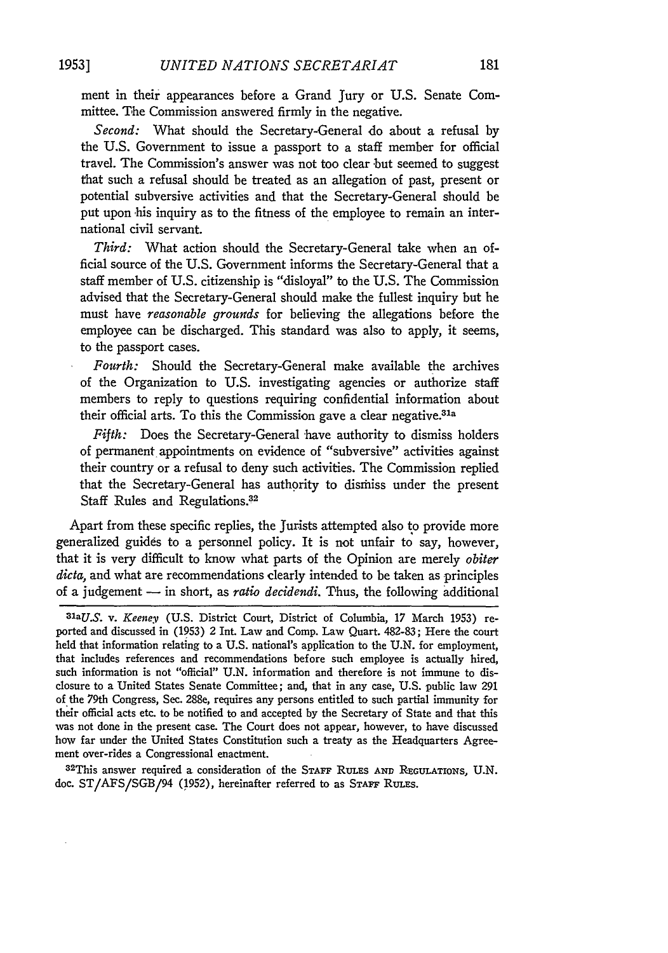ment in their appearances before a Grand Jury or U.S. Senate Committee. The Commission answered firmly in the negative.

*Second:* What should the Secretary-General do about a refusal by the U.S. Government to issue a passport to a staff member for official travel. The Commission's answer was not too clear but seemed to suggest that such a refusal should be treated as an allegation of past, present or potential subversive activities and that the Secretary-General should be put upon his inquiry as to the fitness of the employee to remain an international civil servant.

*Third:* What action should the Secretary-General take when an official source of the U.S. Government informs the Secretary-General that a staff member of U.S. citizenship is "disloyal" to the U.S. The Commission advised that the Secretary-General should make the fullest inquiry but he must have *reasonable grounds* for believing the allegations before the employee can be discharged. This standard was also to apply, it seems, to the passport cases.

*Fourth:* Should the Secretary-General make available the archives of the Organization to U.S. investigating agencies or authorize staff members to reply to questions requiring confidential information about their official arts. To this the Commission gave a clear negative.<sup>31a</sup>

*Fifth:* Does the Secretary-General 'have authority to dismiss holders of permanent appointments on evidence of "subversive" activities against their country or a refusal to deny such activities. The Commission replied that the Secretary-General has authority to disrhiss under the present Staff Rules and Regulations.<sup>32</sup>

Apart from these specific replies, the Jurists attempted also to provide more generalized guides to a personnel policy. It is not unfair to say, however, that it is very difficult to know what parts of the Opinion are merely *obiter dicta,* and what are recommendations clearly intended to be taken as principles of a judgement - in short, as *ratio decidendi.* Thus, the following additional

32 This answer required a consideration of the STAFF RULES AND REGULATIONS, U.N. doc. ST/AFS/SGB/94 (1952), hereinafter referred to as **STAFF** RuLEs.

*maU.S. v. Keeney* (U.S. District Court, District of Columbia, 17 March 1953) reported and discussed in (1953) 2 Int. Law and Comp. Law Quart. 482-83; Here the court held that information relating to a U.S. national's application to the U.N. for employment, that includes references and recommendations before such employee is actually hired, such information is not "official" U.N. information and therefore is not immune to disclosure to a United States Senate Committee; and, that in any case, U.S. public law 291 of the 79th Congress, Sec. 288e, requires any persons entitled to such partial immunity for their official acts etc. to be notified to and accepted by the Secretary of State and that this was not done in the present case. The Court does not appear, however, to have discussed how far under the United States Constitution such a treaty as the Headquarters Agreement over-rides a Congressional enactment.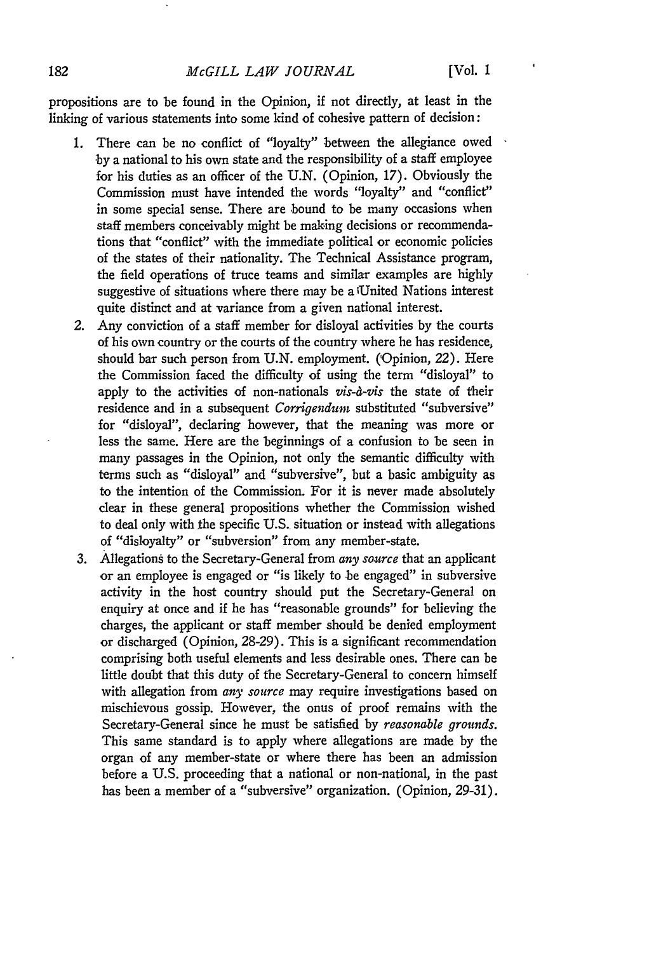propositions are to be found in the Opinion, if not directly, at least in the linking of various statements into some kind of cohesive pattern of decision:

- 1. There can be no conflict of "loyalty" between the allegiance owed **-by** a national to his own state and the responsibility of a staff employee for his duties as an officer of the U.N. (Opinion, 17). Obviously the Commission must have intended the words "loyalty" and "conflict" in some special sense. There are bound to be many occasions when staff members conceivably might be making decisions or recommendations that "conflict" with the immediate political or economic policies of the states of their nationality. The Technical Assistance program, the field operations of truce teams and similar examples are highly suggestive of situations where there may be a 'United Nations interest quite distinct and at variance from a given national interest.
- *2.* Any conviction of a staff member for disloyal activities by the courts of his own country or the courts of the country where he has residence, should bar such person from U.N. employment. (Opinion, 22). Here the Commission faced the difficulty of using the term "disloyal" to apply to the activities of non-nationals *vis-a-vis* the state of their residence and in a subsequent *Corrigendum* substituted "subversive" for "disloyal", declaring however, that the meaning was more or less the same. Here are the beginnings of a confusion to be seen in many passages in the Opinion, not only the semantic difficulty with terms such as "disloyal" and "subversive", but a basic ambiguity as to the intention of the Commission. For it is never made absolutely clear in these general propositions whether the Commission wished to deal only with the specific U.S. situation or instead with allegations of "disloyalty" or "subversion" from any member-state.
- 3. Allegations to the Secretary-General from *any source* that an applicant or an employee is engaged or "is likely to be engaged" in subversive activity in the host country should put the Secretary-General on enquiry at once and if he has "reasonable grounds" for believing the charges, the applicant or staff member should be denied employment or discharged (Opinion, 28-29). This is a significant recommendation comprising both useful elements and less desirable ones. There can be little doubt that this duty of the Secretary-General to concern himself with allegation from *any source* may require investigations based on mischievous gossip. However, the onus of proof remains with the Secretary-General since he must be satisfied by *reasonable grounds.* This same standard is to apply where allegations are made **by** the organ of any member-state or where there has been an admission before a **U.S.** proceeding that a national or non-national, in the past has been a member of a "subversive" organization. (Opinion, **29-31).**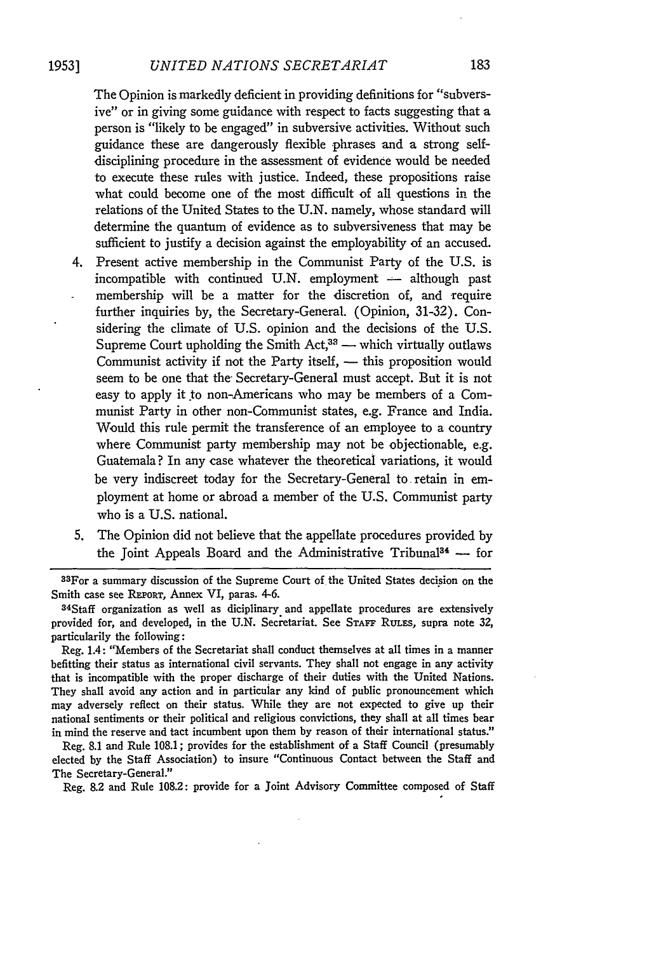#### **1953]** *UNITED NATIONS SECRETARIAT*

The Opinion is markedly deficient in providing definitions for "subversive" or in giving some guidance with respect to facts suggesting that a person is "likely to be engaged" in subversive activities. Without such guidance these are dangerously flexible phrases and a strong selfdisciplining procedure in the assessment of evidence would be needed to execute these rules with justice. Indeed, these propositions raise what could become one of the most difficult of all questions in the relations of the United States to the U.N. namely, whose standard will determine the quantum of evidence as to subversiveness that may be sufficient to justify a decision against the employability of an accused.

- 4. Present active membership in the Communist Party of the U.S. is incompatible with continued U.N. employment  $-$  although past membership will be a matter for the discretion of, and require further inquiries by, the Secretary-General. (Opinion, 31-32). Considering the climate of U.S. opinion and the decisions of the U.S. Supreme Court upholding the Smith Act, $3^3$  — which virtually outlaws Communist activity if not the Party itself, - this proposition would seem to be one that the- Secretary-General must accept. But it is not easy to apply it to non-Americans who may be members of a Communist Party in other non-Communist states, e.g. France and India. Would this rule permit the transference of an employee to a country where Communist party membership may not be objectionable, e.g. Guatemala? In any case whatever the theoretical variations, it would be very indiscreet today for the Secretary-General to retain in employment at home or abroad a member of the U.S. Communist party who is a U.S. national.
- 5. The Opinion did not believe that the appellate procedures provided by the Joint Appeals Board and the Administrative Tribunal<sup>34</sup>  $-$  for

3 3 For a summary discussion of the Supreme Court of the United States decision on the Smith case see REPORT, Annex VI, paras. 4-6.<br><sup>34</sup>Staff organization as well as diciplinary and appellate procedures are extensively

provided for, and developed, in the U.N. Secretariat. See **STAFF** RuLEs, supra note 32, particularily the following:

Reg. 1.4: "Members of the Secretariat shall conduct themselves at all times in a manner befitting their status as international civil servants. They shall not engage in any activity that is incompatible with the proper discharge of their duties with the United Nations. They shall avoid any action and in particular any kind of public pronouncement which may adversely reflect on their status. While they are not expected to give up their national sentiments or their political and religious convictions, they shall at all times bear in mind the reserve and tact incumbent upon them by reason of their international status."

Reg. 8.1 and Rule 108.1; provides for the establishment of a Staff Council (presumably elected by the Staff Association) to insure "Continuous Contact between the Staff and The Secretary-General."

Reg. **8.2** and Rule 108.2: provide for a Joint Advisory Committee composed of Staff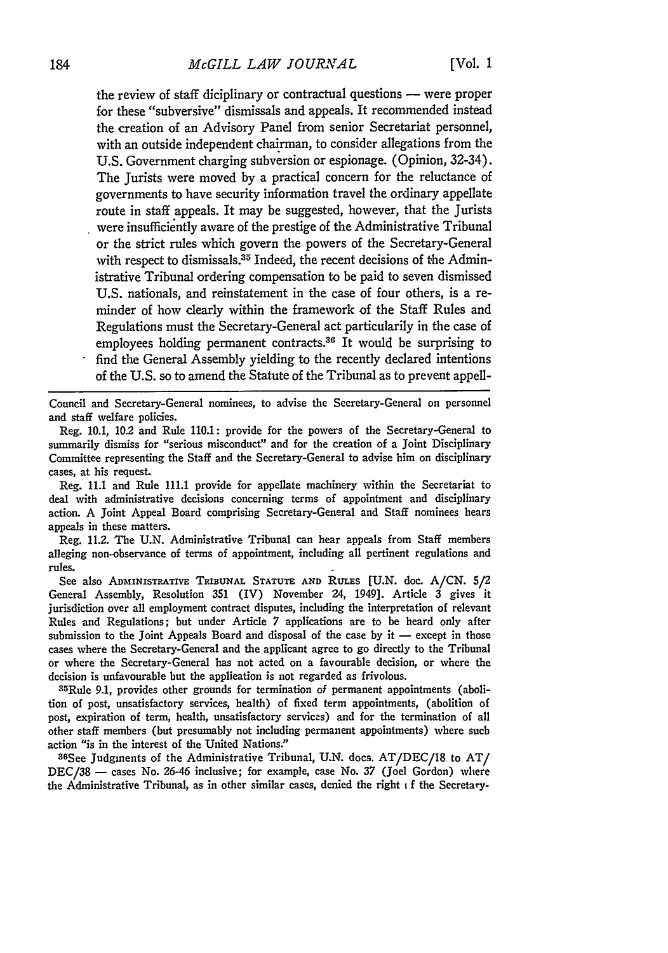#### *McGILL LAW JOURNAL*

the review of staff diciplinary or contractual questions **-** were proper for these "subversive" dismissals and appeals. It recommended instead the creation of an Advisory Panel from senior Secretariat personnel, with an outside independent chairman, to consider allegations from the U.S. Government charging subversion or espionage. (Opinion, 32-34). The Jurists were moved by a practical concern for the reluctance of governments to have security information travel the ordinary appellate route in staff appeals. It may be suggested, however, that the Jurists were insufficiently aware of the prestige of the Administrative Tribunal or the strict rules which govern the powers of the Secretary-General with respect to dismissals.<sup>35</sup> Indeed, the recent decisions of the Administrative Tribunal ordering compensation to be paid to seven dismissed U.S. nationals, and reinstatement in the case of four others, is a reminder of how clearly within the framework of the Staff Rules and Regulations must the Secretary-General act particularily in the case of employees holding permanent contracts.<sup>36</sup> It would be surprising to find the General Assembly yielding to the recently declared intentions

of the U.S. so to amend the Statute of the Tribunal as to prevent appell-

Council and Secretary-General nominees, to advise the Secretary-General on personnel and staff welfare policies.

Reg. 10.1, 10.2 and Rule 110.1: provide for the powers of the Secretary-General to summarily dismiss for "serious misconduct" and for the creation of a Joint Disciplinary Committee representing the Staff and the Secretary-General to advise him on disciplinary cases, at his request.

Reg. 11.1 and Rule 111.1 provide for appellate machinery within the Secretariat to deal with administrative decisions concerning terms of appointment and disciplinary action. A Joint Appeal Board comprising Secretary-General and Staff nominees hears appeals in these matters.

Reg. 11.2. The U.N. Administrative Tribunal can hear appeals from Staff members alleging non-observance of terms of appointment, including all pertinent regulations and rules.

See also ADmINISTRATIVE **TRIBUNAL STATUTE AND RULES [U.N.** doc. A/CN. 5/2 General Assembly, Resolution 351 (IV) November 24, 1949]. Article 3 gives it jurisdiction over all employment contract disputes, including the interpretation of relevant Rules and Regulations; but under Article 7 applications are to be heard only after submission to the Joint Appeals Board and disposal of the case by it **-** except in those cases where the Secretary-General and the applicant agree to go directly to the Tribunal or where the Secretary-General has not acted on a favourable decision, or where the decision is unfavourable but the application is not regarded as frivolous.

35Rule 9.1, provides other grounds for termination of permanent appointments (abolition of post, unsatisfactory services, health) of fixed term appointments, (abolition of post, expiration of term, health, unsatisfactory services) and for the termination of all other staff members (but presumably not including permanent appointments) where such action "is in the interest of the United Nations."

36See Judgments of the Administrative Tribunal, U.N. docs. AT/DEC/18 to AT/ DEC/38 - cases No. 26-46 inclusive; for example, case No. 37 (Joel Gordon) where the Administrative Tribunal, as in other similar cases, denied the right i f the Secretary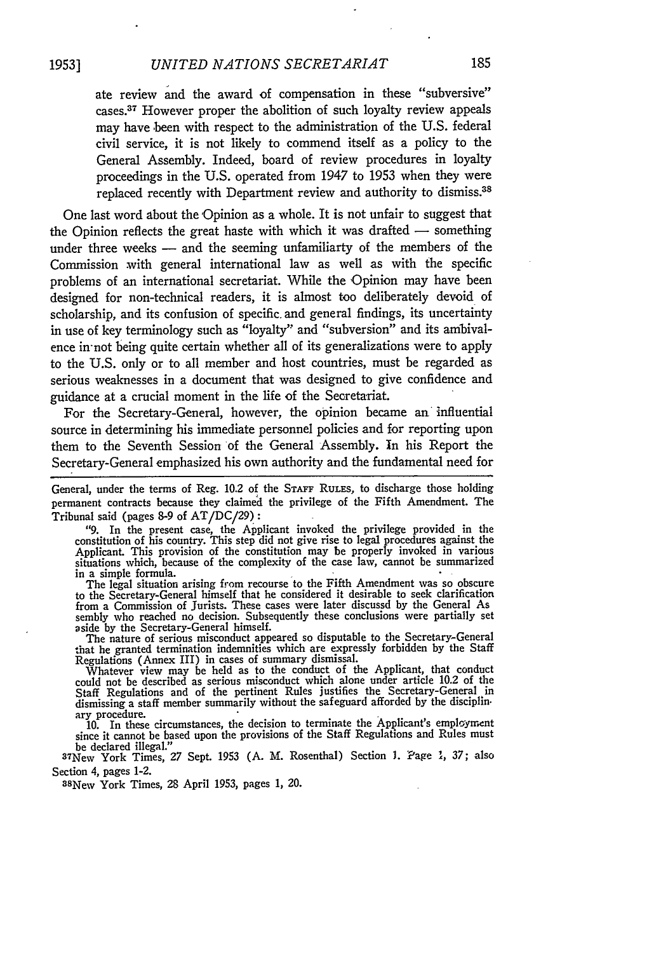ate review and the award of compensation in these "subversive" cases.<sup>37</sup> However proper the abolition of such loyalty review appeals may have been with respect to the administration of the U.S. federal civil service, it is not likely to commend itself as a policy to the General Assembly. Indeed, board of review procedures in loyalty proceedings in the U.S. operated from 1947 to 1953 when they were replaced recently with Department review and authority to dismiss.<sup>38</sup>

One last word about the 'Opinion as a whole. It is not unfair to suggest that the Opinion reflects the great haste with which it was drafted  $-$  something under three weeks  $-$  and the seeming unfamiliarty of the members of the Commission with general international law as well as with the specific problems of an international secretariat. While the Opinion may have been designed for non-technical readers, it is almost too deliberately devoid of scholarship, and its confusion of specific. and general findings, its uncertainty in use of key terminology such as "loyalty" and "subversion" and its ambivalence in-not being quite certain whether all of its generalizations were to apply to the U.S. only or to all member and host countries, must be regarded as serious weaknesses in a document that was designed to give confidence and guidance at a crucial moment in the life of the Secretariat.

For the Secretary-General, however, the opinion became an influential source in determining his immediate personnel policies and for reporting upon them to the Seventh Session of the General Assembly. In his Report the Secretary-General emphasized his own authority and the fundamental need for

General, under the terms of Reg. 10.2 of the STAFF RULES, to discharge those holding permanent contracts because they claimed the privilege of the Fifth Amendment. The Tribunal said (pages 8-9 of AT/DC/29) **:**

"9. In the present case, the Applicant invoked the privilege provided in the constitution of his country. This step did not give rise to legal procedures against the Applicant. This provision of the constitution may be properly invoked in various situations which, because of the complexity of the case law, cannot be summarized in a simple formula.

The legal situation arising from recourse to the Fifth Amendment was so obscure to the Secretary-General himself that he considered it desirable to seek clarification from a Commission of Jurists. These cases were later discussd by the General As sembly who reached no decision. Subsequently these conclusions were partially set aside by the Secretary-General himself.

The nature of serious misconduct appeared so disputable to the Secretary-General<br>that he granted termination indemnities which are expressly forbidden by the Staff<br>Regulations (Annex III) in cases of summary dismissal.<br>Wha

Staff Regulations and of the pertinent Rules justifies the Secretary-General in dismissing a staff member summarily without the safeguard afforded **by** the disciplinary procedure.

**10.** In these circumstances, the decision to terminate the Applicant's employment since it cannot be based upon the provisions of the Staff Regulations and Rules must be declared illegal.'

New York Times, 27 Sept. 1953 **(A.** M. Rosenthal) Section **1.** Page **1,** 37; also Section 4, pages 1-2.

3 <sup>8</sup> New York Times, 28 April 1953, pages **1,** 20.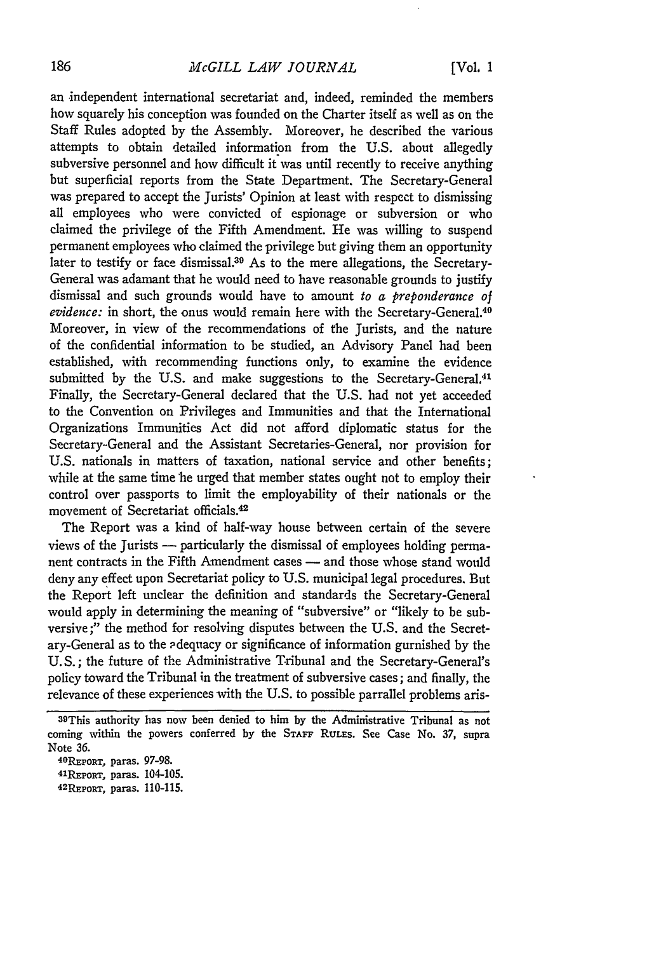#### *McGILL LAW JOURNAL*

an independent international secretariat and, indeed, reminded the members how squarely his conception was founded on the Charter itself as well as on the Staff Rules adopted by the Assembly. Moreover, he described the various attempts to obtain detailed information from the U.S. about allegedly subversive personnel and how difficult it was until recently to receive anything but superficial reports from the State Department. The Secretary-General was prepared to accept the Jurists' Opinion at least with respect to dismissing all employees who were convicted of espionage or subversion or who claimed the privilege of the Fifth Amendment. He was willing to suspend permanent employees who claimed the privilege but giving them an opportunity later to testify or face dismissal.39 As to the mere allegations, the Secretary-General was adamant that he would need to have reasonable grounds to justify dismissal and such grounds would have to amount *to a preponderance of* evidence: in short, the onus would remain here with the Secretary-General.<sup>40</sup> Moreover, in view of the recommendations of the Jurists, and the nature of the confidential information to be studied, an Advisory Panel had been established, with recommending functions only, to examine the evidence submitted by the U.S. and make suggestions to the Secretary-General.<sup>41</sup> Finally, the Secretary-General declared that the U.S. had not yet acceeded to the Convention on Privileges and Immunities and that the International Organizations Immunities Act did not afford diplomatic status for the Secretary-General and the Assistant Secretaries-General, nor provision for U.S. nationals in matters of taxation, national service and other benefits; while at the same time he urged that member states ought not to employ their control over passports to limit the employability of their nationals or the movement of Secretariat officials.4

The Report was a kind of half-way house between certain of the severe views of the Jurists **-** particularly the dismissal of employees holding permanent contracts in the Fifth Amendment cases — and those whose stand would deny any effect upon Secretariat policy to U.S. municipal legal procedures. But the Report left unclear the definition and standards the Secretary-General would apply in determining the meaning of "subversive" or "likely to be subversive;" the method for resolving disputes between the U.S. and the Secretary-General as to the adequacy or significance of information gurnished by the **U.** S.; the future of the Administrative Tribunal and the Secretary-General's policy toward the Tribunal in the treatment of subversive cases; and finally, the relevance of these experiences with the U.S. to possible parrallel problems aris-

<sup>39</sup>This authority has now been denied to him by the Administrative Tribunal as not coming within the powers conferred **by** the **STAFF RULES.** See Case No. **37,** supra Note **36. <sup>4</sup> <sup>0</sup>**

**REPORT,** paras. **97-98. <sup>4</sup> <sup>1</sup>**

**REPoRT,** paras. 104-105. **<sup>4</sup> 2REPoRT,** paras. **110-115.**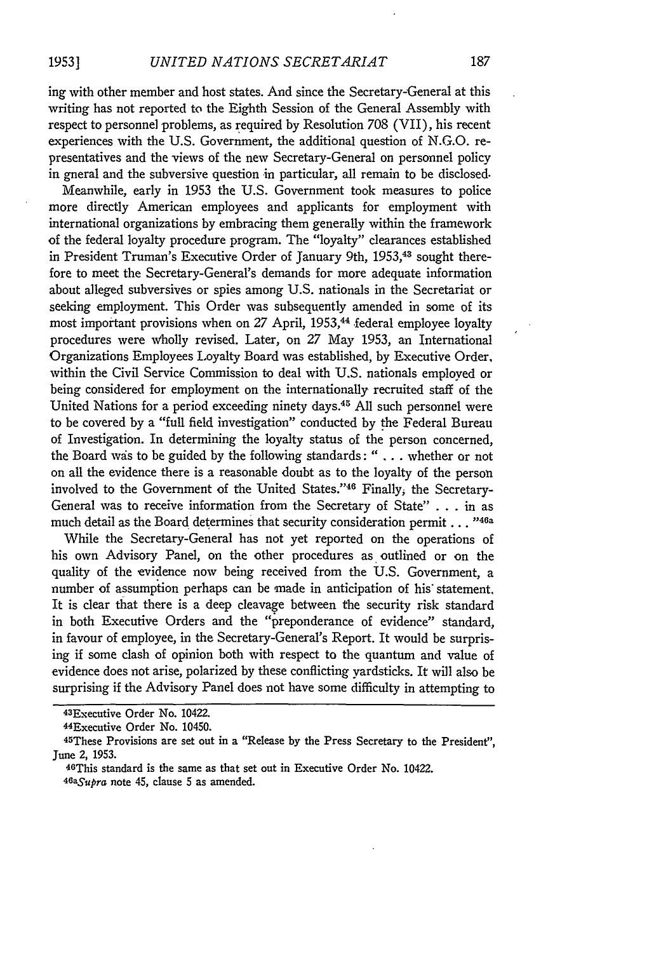ing with other member and host states. And since the Secretary-General at this writing has not reported to the Eighth Session of the General Assembly with respect to personnel problems, as required by Resolution 708 (VII), his recent experiences with the U.S. Government, the additional question of N.G.O. representatives and the views of the new Secretary-General on personnel policy in gneral and the subversive question in particular, all remain to be disclosed.

Meanwhile, early in 1953 the U.S. Government took measures to police more directly American employees and applicants for employment with international organizations by embracing them generally within the framework of the federal loyalty procedure program. The "loyalty" clearances established in President Truman's Executive Order of January 9th, 1953, <sup>4</sup> 3 sought therefore to meet the Secretary-General's demands for more adequate information about alleged subversives or spies among U.S. nationals in the Secretariat or seeking employment. This Order was subsequently amended in some of its most important provisions when on 27 April, 1953,<sup>44</sup> federal employee loyalty procedures were Wholly revised. Later, on 27 May 1953, an International Organizations Employees Loyalty Board was established, by Executive Order, within the Civil Service Commission to deal with U.S. nationals employed or being considered for employment on the internationally recruited staff of the United Nations for a period exceeding ninety days.45 All such personnel were to be covered by a "full field investigation" conducted by the Federal Bureau of Investigation. In determining the loyalty status of the person concerned, the Board wds to be guided by the following standards: " **. .** . whether or not on all the evidence there is a reasonable doubt as to the loyalty of the person involved to the Government of the United States."<sup>46</sup> Finally, the Secretary-General was to receive information from the Secretary of State" . . . in as much detail as the Board determines that security consideration permit...<sup>"46a</sup>

While the Secretary-General has not yet reported on the operations of his own Advisory Panel, on the other procedures as outlined or on the quality of the evidence now being received from the U.S. Government, a number of assumption perhaps can be made in anticipation of his statement, It is clear that there is a deep cleavage between the security risk standard in both Executive Orders and the "preponderance of evidence" standard, in favour of employee, in the Secretary-General's Report. It would be surprising if some clash of opinion both with respect to the quantum and value of evidence does not arise, polarized by these conflicting yardsticks. It will also be surprising if the Advisory Panel does not have some difficulty in attempting to

<sup>43</sup>Executive Order No. 10422.

<sup>44</sup> Executive Order No. 10450.

<sup>45</sup> These Provisions are set out in a "Release by the Press Secretary to the President", June 2, 1953.

<sup>46</sup>This standard is the same as that set out in Executive Order No. 10422. *<sup>4</sup> 6aSupra* note 45, clause **5** as amended.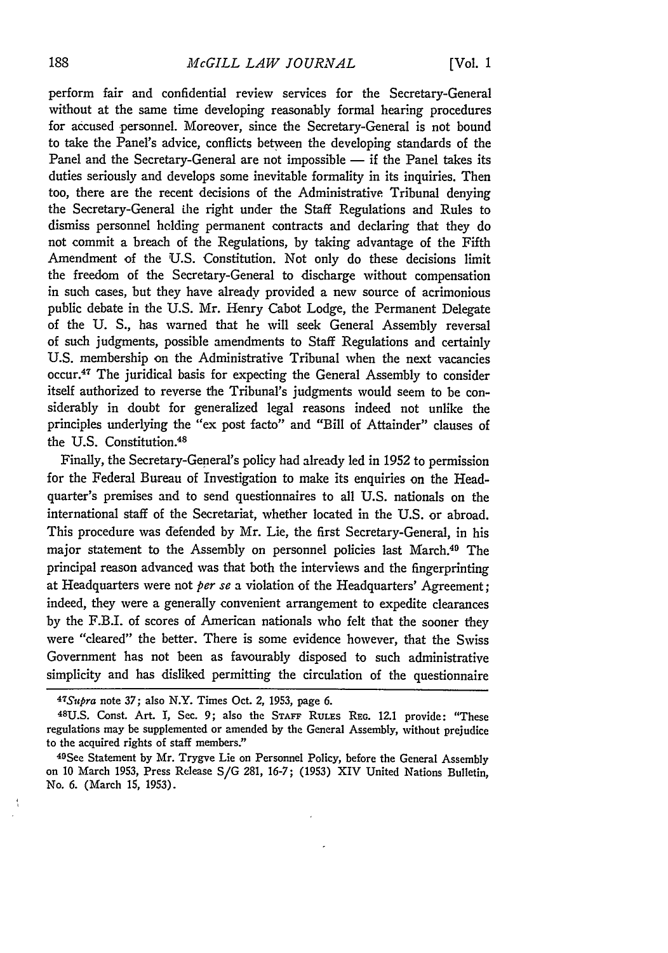perform fair and confidential review services for the Secretary-General without at the same time developing reasonably formal hearing procedures for accused personnel. Moreover, since the Secretary-General is not bound to take the Panel's advice, conflicts between the developing standards of the Panel and the Secretary-General are not impossible - if the Panel takes its duties seriously and develops some inevitable formality in its inquiries. Then too, there are the recent decisions of the Administrative Tribunal denying the Secretary-General the right under the Staff Regulations and Rules to dismiss personnel holding permanent contracts and declaring that they do not commit a breach of the Regulations, by taking advantage of the Fifth Amendment of the U.S. Constitution. Not only do these decisions limit the freedom of the Secretary-General to discharge without compensation in such cases, but they have already provided a new source of acrimonious public debate in the U.S. Mr. Henry Cabot Lodge, the Permanent Delegate of the U. S., has warned that he will seek General Assembly reversal of such judgments, possible amendments to Staff Regulations and certainly U.S. membership on the Administrative Tribunal when the next vacancies occur.47 The juridical basis for expecting the General Assembly to consider itself authorized to reverse the Tribunal's judgments would seem to be considerably in doubt for generalized legal reasons indeed not unlike the principles underlying the "ex post facto" and "Bill of Attainder" clauses of the U.S. Constitution.<sup>48</sup>

Finally, the Secretary-General's policy had already led in 1952 to permission for the Federal Bureau of Investigation to make its enquiries on the Headquarter's premises and to send questionnaires to all U.S. nationals on the international staff of the Secretariat, whether located in the U.S. or abroad. This procedure was defended by Mr. Lie, the first Secretary-General, in his major statement to the Assembly on personnel policies last March.<sup>49</sup> The principal reason advanced was that both the interviews and the fingerprinting at Headquarters were not *per se* a violation of the Headquarters' Agreement; indeed, they were a generally convenient arrangement to expedite clearances by the F.B.I. of scores of American nationals who felt that the sooner they were "cleared" the better. There is some evidence however, that the Swiss Government has not been as favourably disposed to such administrative simplicity and has disliked permitting the circulation of the questionnaire

*<sup>47</sup>Supra* note 37; also N.Y. Times Oct. 2, 1953, page **6.**

**<sup>48</sup>U.S.** Const. Art. I, Sec. 9; also the **STAFF** RULES **REG.** 12.1 provide: "These regulations may be supplemented or amended by the General Assembly, without prejudice

to the acquired rights of staff members."<br><sup>49</sup>See Statement by Mr. Trygve Lie on Personnel Policy, before the General Assembly on 10 March 1953, Press Release S/G 281, 16-7; (1953) XIV United Nations Bulletin, No. 6. (March 15, 1953).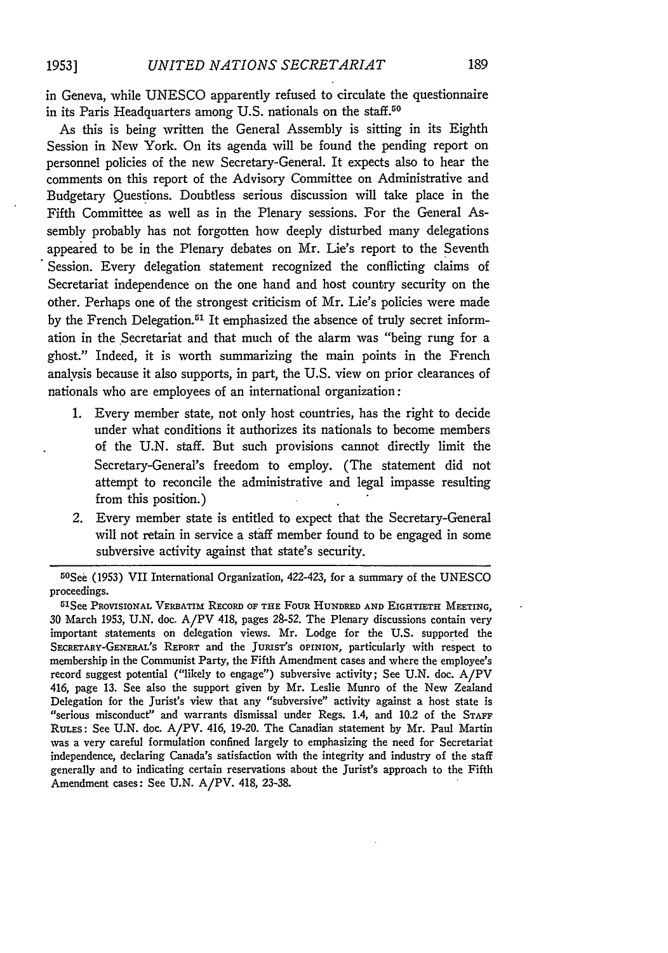in Geneva, while UNESCO apparently refused to circulate the questionnaire in its Paris Headquarters among **U.S.** nationals on the staff.50

As this is being written the General Assembly is sitting in its Eighth Session in New York. On its agenda will be found the pending report on personnel policies of the new Secretary-General. It expects also to hear the comments on this report of the Advisory Committee on Administrative and Budgetary Questions. Doubtless serious discussion will take place in the Fifth Committee as well as in the Plenary sessions. For the General Assembly probably has not forgotten how deeply disturbed many delegations appeared to be in the Plenary debates on Mr. Lie's report to the Seventh Session. Every delegation statement recognized the conflicting claims of Secretariat independence on the one hand and host country security on the other. Perhaps one of the strongest criticism of Mr. Lie's policies were made by the French Delegation.<sup>51</sup> It emphasized the absence of truly secret information in the Secretariat and that much of the alarm was "being rung for a ghost." Indeed, it is worth summarizing the main points in the French analysis because it also supports, in part, the U.S. view on prior clearances of nationals who are employees of an international organization:

- **1.** Every member state, not only host countries, has the right to decide under what conditions it authorizes its nationals to become members of the U.N. staff. But such provisions cannot directly limit the Secretary-General's freedom to employ. (The statement did not attempt to reconcile the administrative and legal impasse resulting from this position.)
- 2. Every member state is entitled to expect that the Secretary-General will not retain in service a staff member found to be engaged in some subversive activity against that state's security.

<sup>50</sup> See (1953) VII International Organization, 422-423, for a summary of the UNESCO proceedings.

See PROVISIONAL VERBATIm RECORD OF THE **FOUR** HUNDRED **AND** EIGHTIETH MEETING, 30 March 1953, **U.N.** doc. A/PV 418, pages **28-52.** The Plenary discussions contain very important statements on delegation views. Mr. Lodge for the **U.S.** supported the SECRETARY-GENERAL'S REPORT and the JURIST'S OPINION, particularly with respect to membership in the Communist Party, the Fifth Amendment cases and where the employee's record suggest potential ("likely to engage") subversive activity; See **U.N.** doc. A/PV 416, page **13.** See also the support given **by** Mr. Leslie Munro of the New Zealand Delegation for the Jurist's view that any "subversive" activity against a host state is "serious misconduct" and warrants dismissal under Regs. 1.4, and 10.2 of the **STAFF RULES:** See **U.N.** doe. A/PV. 416, 19-20. The Canadian statement **by** Mr. Paul Martin was a very careful formulation confined largely to emphasizing the need for Secretariat independence, declaring Canada's satisfaction with the integrity and industry of the staff generally and to indicating certain reservations about the Jurist's approach to the Fifth Amendment cases: See **U.N.** A/PV. 418, 23-38.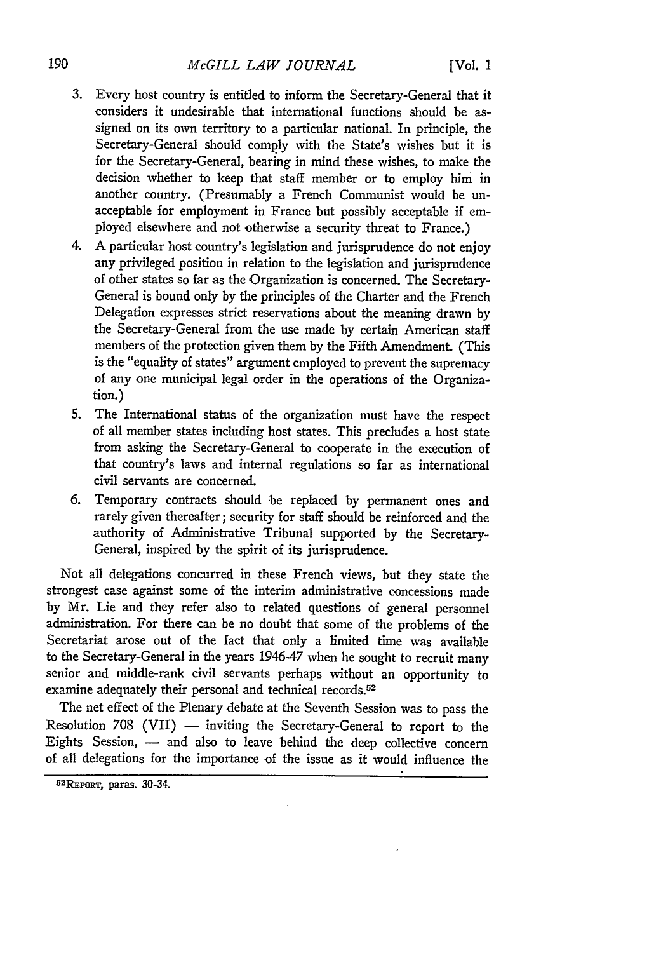- 3. Every host country is entitled to inform the Secretary-General that it considers it undesirable that international functions should be assigned on its own territory to a particular national. In principle, the Secretary-General should comply with the State's wishes but it is for the Secretary-General, bearing in mind these wishes, to make the decision whether to keep that staff member or to employ him in another country. (Presumably a French Communist would be unacceptable for employment in France but possibly acceptable if employed elsewhere and not otherwise a security threat to France.)
- 4. A particular host country's legislation and jurisprudence do not enjoy any privileged position in relation to the legislation and jurisprudence of other states so far as the Organization is concerned. The Secretary-General is bound only by the principles of the Charter and the French Delegation expresses strict reservations about the meaning drawn by the Secretary-General from the use made by certain American staff members of the protection given them by the Fifth Amendment. (This is the "equality of states" argument employed to prevent the supremacy of any one municipal legal order in the operations of the Organization.)
- 5. The International status of the organization must have the respect of all member states including host states. This precludes a host state from asking the Secretary-General to cooperate in the execution of that country's laws and internal regulations so far as international civil servants are concerned.
- 6. Temporary contracts should be replaced by permanent ones and rarely given thereafter; security for staff should be reinforced and the authority of Administrative Tribunal supported by the Secretary-General, inspired by the spirit of its jurisprudence.

Not all delegations concurred in these French views, but they state the strongest case against some of the interim administrative concessions made by Mr. Lie and they refer also to related questions of general personnel administration. For there can be no doubt that some of the problems of the Secretariat arose out of the fact that only a limited time was available to the Secretary-General in the years 1946-47 when he sought to recruit many senior and middle-rank civil servants perhaps without an opportunity to examine adequately their personal and technical records.<sup>52</sup>

The net effect of the Plenary debate at the Seventh Session was to pass the Resolution  $708$  (VII)  $-$  inviting the Secretary-General to report to the Eights Session, - and also to leave behind the deep collective concern of all delegations for the importance of the issue as it would influence the

<sup>5</sup> <sup>2</sup> REPoRT, paras. 30-34.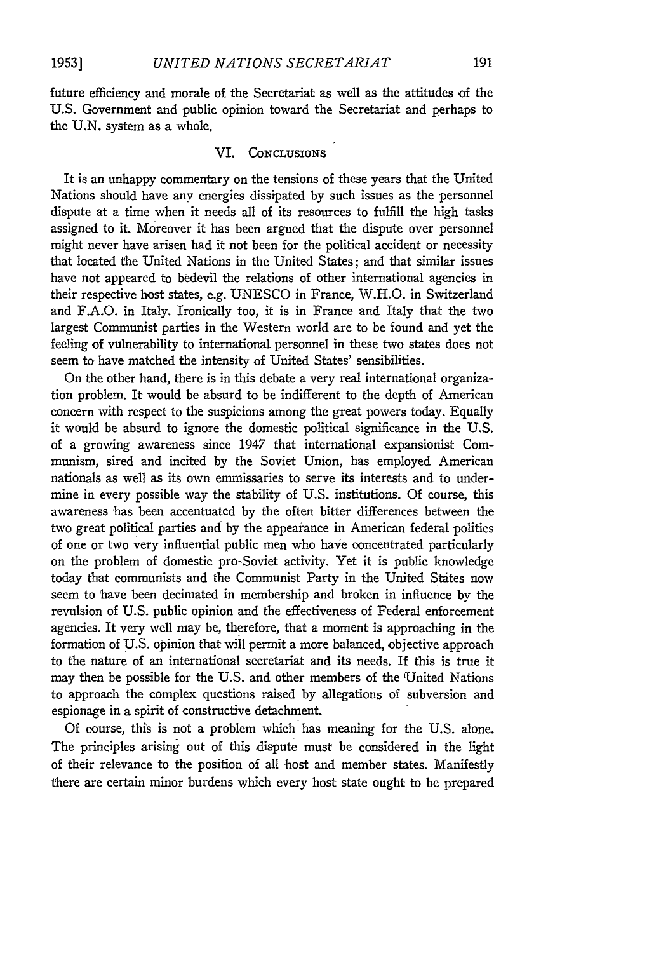future efficiency and morale of the Secretariat as well as the attitudes of the U.S. Government and public opinion toward the Secretariat and perhaps to the U.N. system as a whole.

### VI. **'CONCLUSIONS**

It is an unhappy commentary on the tensions of these years that the United Nations should have any energies dissipated **by** such issues as the personnel dispute at a time when it needs all of its resources to fulfill the high tasks assigned to it. Moreover it has been argued that the dispute over personnel might never have arisen had it not been for the political accident or necessity that located the United Nations in the United States; and that similar issues have not appeared to bedevil the relations of other international agencies in their respective host states, e.g. UNESCO in France, W.H.O. in Switzerland and F.A.O. in Italy. Ironically too, it is in France and Italy that the two largest Communist parties in the Western world are to be found and yet the feeling of vulnerability to international personnel in these two states does not seem to have matched the intensity of United States' sensibilities.

On the other hand, there is in this debate a very real international organization problem. It would be absurd to be indifferent to the depth of American concern with respect to the suspicions among the great powers today. Equally it would be absurd to ignore the domestic political significance in the U.S. of a growing awareness since 1947 that international expansionist Communism, sired and incited **by** the Soviet Union, has employed American nationals as well as its own emmissaries to serve its interests and to undermine in every possible way the stability of U.S. institutions. Of course, this awareness has been accentuated by the often bitter differences between the two great political parties and **by** the appearance in American federal politics of one or two very influential public men who have concentrated particularly on the problem of domestic pro-Soviet activity. Yet it is public knowledge today that communists and the Communist Party in the United States now seem to have been decimated in membership and broken in influence **by** the revulsion of U.S. public opinion and the effectiveness of Federal enforcement agencies. It very well may be, therefore, that a moment is approaching in the formation of **U.S.** opinion that will permit a more balanced, objective approach to the nature of an international secretariat and its needs. If this is true it may then be possible for the U.S. and other members of the 'United Nations to approach the complex questions raised **by** allegations of subversion and espionage in a spirit of constructive detachment.

Of course, this is not a problem which has meaning for the **U.S.** alone. The principles arising out of this dispute must be considered in the light of their relevance to the position of all host and member states. Manifestly there are certain minor burdens which every host state ought to be prepared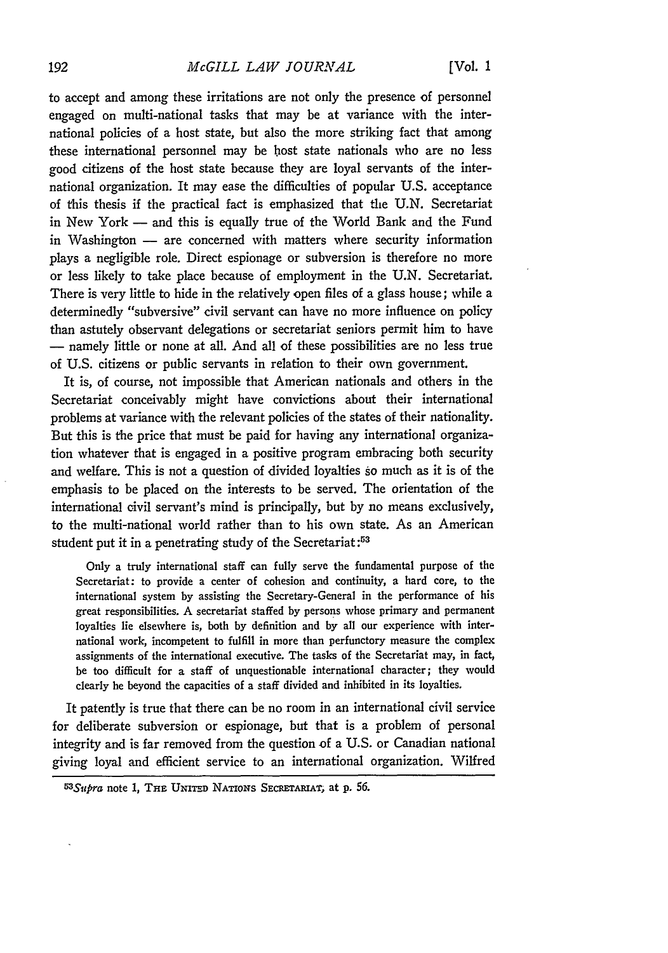#### *McGILL LAW JOURNAL*

to accept and among these irritations are not only the presence of personnel engaged on multi-national tasks that may be at variance with the international policies of a host state, but also the more striking fact that among these international personnel may be bost state nationals who are no less good citizens of the host state because they are loyal servants of the international organization. It may ease the difficulties of popular U.S. acceptance of this thesis if the practical fact is emphasized that the U.N. Secretariat in New York - and this is equally true of the World Bank and the Fund in Washington - are concerned with matters where security information plays a negligible role. Direct espionage or subversion is therefore no more or less likely to take place because of employment in the U.N. Secretariat. There is very little to hide in the relatively open files of a glass house; while a determinedly "subversive" civil servant can have no more influence on policy than astutely observant delegations or secretariat seniors permit him to have **-** namely little or none at all. And all of these possibilities are no less true of U.S. citizens or public servants in relation to their own government.

It is, of course, not impossible that American nationals and others in the Secretariat conceivably might have convictions about their international problems at variance with the relevant policies of the states of their nationality. But this is the price that must be paid for having any international organization whatever that is engaged in a positive program embracing both security and welfare. This is not a question of divided loyalties so much as it is of the emphasis to be placed on the interests to be served. The orientation of the international civil servant's mind is principally, but by no means exclusively, to the multi-national world rather than to his own state. As an American student put it in a penetrating study of the Secretariat:<sup>53</sup>

Only a truly international staff can fully serve the fundamental purpose of the Secretariat: to provide a center of cohesion and continuity, a hard core, to the international system **by** assisting the Secretary-General in the performance of his great responsibilities. **A** secretariat staffed **by** persons whose primary and permanent loyalties lie elsewhere is, both **by** definition and **by** all our experience with international work, incompetent to fulfill in more than perfunctory measure the complex assignments of the international executive. The tasks of the Secretariat may, in fact, be too difficult for a staff of unquestionable international character; they would clearly be beyond the capacities of a staff divided and inhibited in its loyalties.

It patently is **true** that there can be no room in an international civil service **for** deliberate subversion or espionage, but that is a problem of personal integrity and is far removed from the **question** of a **U.S.** or Canadian national giving loyal and efficient service to an international organization. Wilfred

*<sup>53</sup> Sup'ra* note **1, THE UNITED** NATIoNs SECRETARIAT; at **p.** *56.*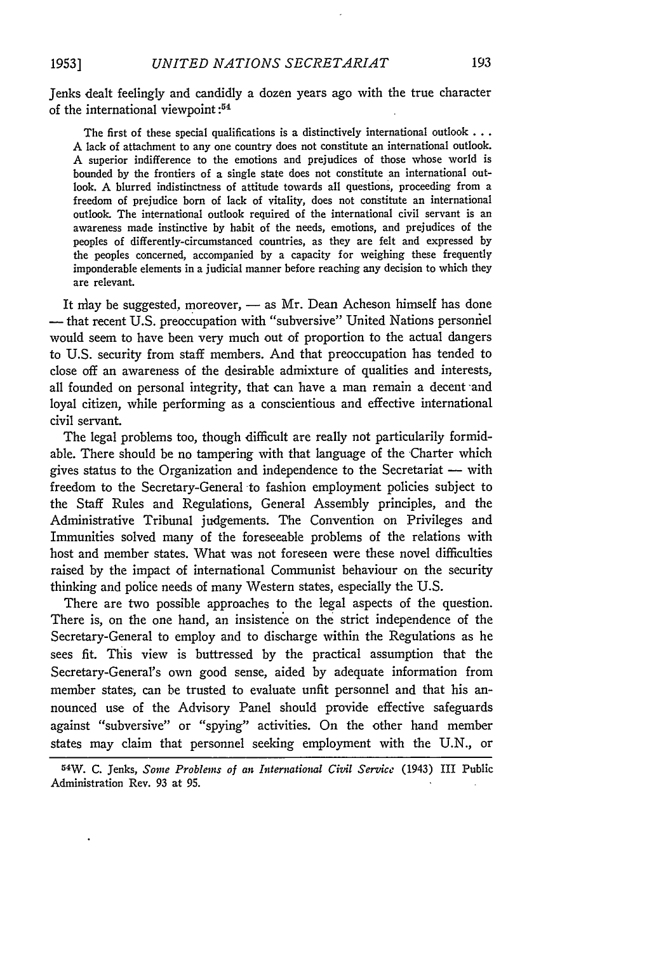Jenks dealt feelingly and candidly a dozen years ago with the true character of the international viewpoint:<sup>54</sup>

The first of these special qualifications is a distinctively international outlook **...** A lack of attachment to any one country does not constitute an international outlook. A superior indifference to the emotions and prejudices of those whose world is bounded by the frontiers of a single state does not constitute an international outlook. **A** blurred indistinctness of attitude towards all questions, proceeding from a freedom of prejudice born of lack of vitality, does not constitute an international outlook. The international outlook required of the international civil servant is an awareness made instinctive by habit of the needs, emotions, and prejudices of the peoples of differently-circumstanced countries, as they are felt and expressed by the peoples concerned, accompanied by a capacity for weighing these frequently imponderable elements in a judicial manner before reaching any decision to which they are relevant.

It may be suggested, moreover,  $-$  as Mr. Dean Acheson himself has done - that recent U.S. preoccupation with "subversive" United Nations personnel would seem to have been very much out of proportion to the actual dangers to U.S. security from staff members. And that preoccupation has tended to close off an awareness of the desirable admixture of qualities and interests, all founded on personal integrity, that can have a man remain a decent and loyal citizen, while performing as a conscientious and effective international civil servant.

The legal problems too, though difficult are really not particularily formidable. There should be no tampering with that language of the Charter which gives status to the Organization and independence to the Secretariat — with freedom to the Secretary-General to fashion employment policies subject to the Staff Rules and Regulations, General Assembly principles, and the Administrative Tribunal judgements. The Convention on Privileges and Immunities solved many of the foreseeable problems of the relations with host and member states. What was not foreseen were these novel difficulties raised by the impact of international Communist behaviour on the security thinking and police needs of many Western states, especially the U.S.

There are two possible approaches to the legal aspects of the question. There is, on the one hand, an insistence on the strict independence of the Secretary-General to employ and to discharge within the Regulations as he sees fit. This view is buttressed by the practical assumption that the Secretary-General's own good sense, aided by adequate information from member states, can be trusted to evaluate unfit personnel and that his announced use of the Advisory Panel should provide effective safeguards against "subversive" or "spying" activities. On the other hand member states may claim that personnel seeking employment with the U.N., or

<sup>54</sup>W. **C.** Jenks, *Some Problems of an International Civil Service* (1943) I1 Public Administration Rev. 93 at 95.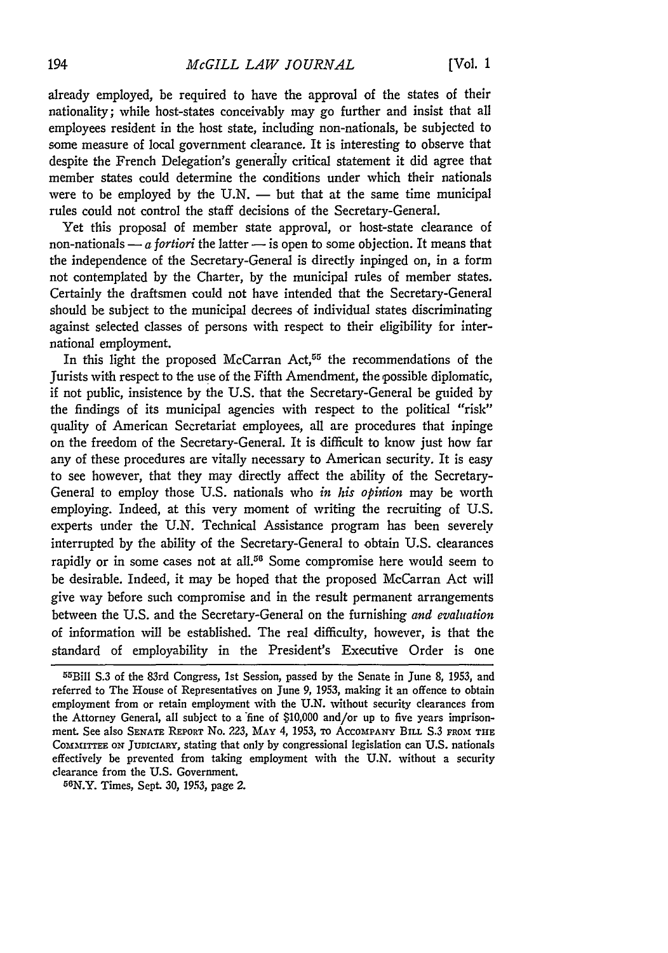already employed, be required to have the approval of the states of their nationality; while host-states conceivably may go further and insist that all employees resident in the host state, including non-nationals, be subjected to some measure of local government clearance. It is interesting to observe that despite the French Delegation's generally critical statement it did agree that member states could determine the conditions under which their nationals were to be employed by the  $U.N.$  — but that at the same time municipal rules could not control the staff decisions of the Secretary-General.

Yet this proposal of member state approval, or host-state clearance of non-nationals  $-a$  *fortiori* the latter  $-\frac{1}{2}$  is open to some objection. It means that the independence of the Secretary-General is directly inpinged on, in a form not contemplated by the Charter, by the municipal rules of member states. Certainly the draftsmen could not have intended that the Secretary-General should be subject to the municipal decrees of individual states discriminating against selected classes of persons with respect to their eligibility for international employment.

In this light the proposed McCarran Act,<sup>55</sup> the recommendations of the Jurists with respect to the use of the Fifth Amendment, the possible diplomatic, if not public, insistence by the U.S. that the Secretary-General be guided by the findings of its municipal agencies with respect to the political "risk" quality of American Secretariat employees, all are procedures that inpinge on the freedom of the Secretary-General. It is difficult to know just how far any of these procedures are vitally necessary to American security. It is easy to see however, that they may directly affect the ability of the Secretary-General to employ those U.S. nationals who *in his opition* may be worth employing. Indeed, at this very moment of writing the recruiting of U.S. experts under the U.N. Technical Assistance program has been severely interrupted by the ability of the Secretary-General to obtain U.S. clearances rapidly or in some cases not at all.<sup>56</sup> Some compromise here would seem to be desirable. Indeed, it may be hoped that the proposed McCarran Act will give way before such compromise and in the result permanent arrangements between the U.S. and the Secretary-General on the furnishing *and evaluation* of information will be established. The real difficulty, however, is that the standard of employability in the President's Executive Order is one

<sup>55</sup>Bill S.3 of the 83rd Congress, 1st Session, passed by the Senate in June 8, 1953, and referred to The House of Representatives on June *9, 1953,* making it an offence to obtain employment from or retain employment with the U.N. without security clearances from the Attorney General, all subject to a 'fine of \$10,000 and/or up to five years imprisonment. See also **SENATE** REPORT No. 223, **MAY** 4, 1953, **To AccOMPANY BILL** S.3 FRO-M **THE** COMMTTEE ON **JUDICIARY,** stating that only **by** congressional legislation can **U.S.** nationals effectively be prevented from taking employment with the U.N. without a security clearance from the U.S. Government.

<sup>5</sup> 6 N.Y. Times, Sept. 30, 1953, page *2.*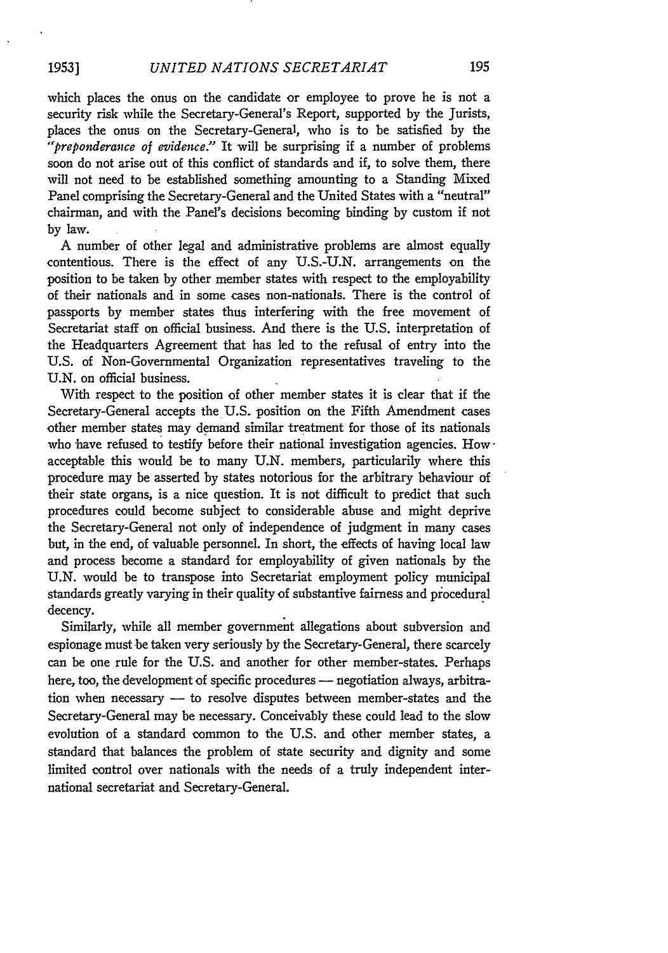which places the onus on the candidate or employee to prove he is not a security risk while the Secretary-General's Report, supported by the Jurists, places the onus on the Secretary-General, who is to be satisfied by the *"'preponderance of evidence."* It will be surprising if a number of problems soon do not arise out of this conflict of standards and if, to solve them, there will not need to be established something amounting to a Standing Mixed Panel comprising the Secretary-General and the United States with a "neutral" chairman, and with the Panel's decisions becoming binding by custom if not by law.

A number of other legal and administrative problems are almost equally contentious. There is the effect of any U.S.-U.N. arrangements on the position to be taken by other member states with respect to the employability of their nationals and in some cases non-nationals. There is the control of passports by member states thus interfering with the free movement of Secretariat staff on official business. And there is the U.S. interpretation of the Headquarters Agreement that has led to the refusal of entry into the U.S. of Non-Governmental Organization representatives traveling to the U.N. on official business.

With respect to the position of other member states it is clear that if the Secretary-General accepts the U.S. position on the Fifth Amendment cases other member states may demand similar treatment for those of its nationals who have refused to testify before their national investigation agencies. Howacceptable this would be to many U.N. members, particularily where this procedure may be asserted by states notorious for the arbitrary behaviour of their state organs, is a nice question. It is not difficult to predict that such procedures could become subject to considerable abuse and might deprive the Secretary-General not only of independence of judgment in many cases but, in the end, of valuable personnel. In short, the effects of having local law and process become a standard for employability of given nationals by the U.N. would be to transpose into Secretariat employment policy municipal standards greatly varying in their quality of substantive fairness and procedural decency.

Similarly, while all member government allegations about subversion and espionage must be taken very seriously by the Secretary-General, there scarcely can be one rule for the U.S. and another for other member-states. Perhaps here, too, the development of specific procedures - negotiation always, arbitration when necessary - to resolve disputes between member-states and the Secretary-General may be necessary. Conceivably these could lead to the slow evolution of a standard common to the U.S. and other member states, a standard that balances the problem of state security and dignity and some limited control over nationals with the needs of a truly independent international secretariat and Secretary-General.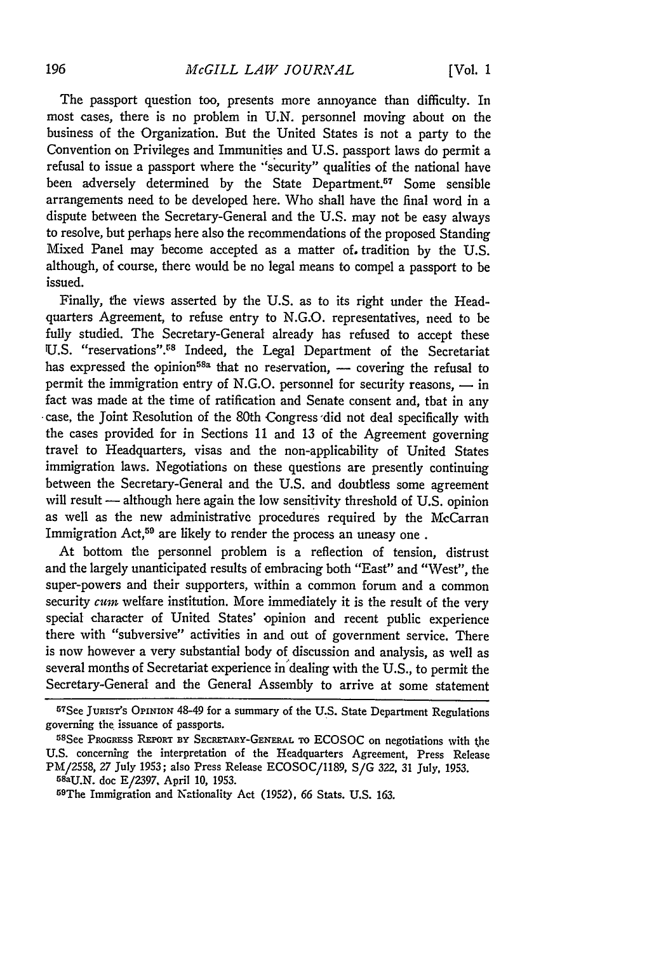The passport question too, presents more annoyance than difficulty. In most cases, there is no problem in U.N. personnel moving about on the business of the Organization. But the United States is not a party to the Convention on Privileges and Immunities and U.S. passport laws do permit a refusal to issue a passport where the "security" qualities of the national have been adversely determined by the State Department.<sup>57</sup> Some sensible arrangements need to be developed here. Who shall have the final word in a dispute between the Secretary-General and the U.S. may not be easy always to resolve, but perhaps here also the recommendations of the proposed Standing Mixed Panel may become accepted as a matter of. tradition by the U.S. although, of course, there would be no legal means to compel a passport to be issued.

Finally, the views asserted by the U.S. as to its right under the Headquarters Agreement, to refuse entry to N.G.O. representatives, need to be fully studied. The Secretary-General already has refused to accept these U.S. "reservations".<sup>58</sup> Indeed, the Legal Department of the Secretariat has expressed the opinion<sup>58a</sup> that no reservation,  $-$  covering the refusal to permit the immigration entry of N.G.O. personnel for security reasons,  $-$  in fact was made at the time of ratification and Senate consent and, that in any -case, the Joint Resolution of the 80th Congress 'did not deal specifically with the cases provided for in Sections 11 and 13 of the Agreement governing travel to Headquarters, visas and the non-applicability of United States immigration laws. Negotiations on these questions are presently continuing between the Secretary-General and the U.S. and doubtless some agreement will result  $-$  although here again the low sensitivity threshold of U.S. opinion as well as the new administrative procedures required by the McCarran Immigration Act,<sup>59</sup> are likely to render the process an uneasy one.

At bottom the personnel problem is a reflection of tension, distrust and the largely unanticipated results of embracing both "East" and "West", the super-powers and their supporters, within a common forum and a common security *cum* welfare institution. More immediately it is the result of the very special character of United States' opinion and recent public experience there with "subversive" activities in and out of government service. There is now however a very substantial body of discussion and analysis, as well as several months of Secretariat experience in dealing with the U.S., to permit the Secretary-General and the General Assembly to arrive at some statement

<sup>57</sup>See JURIST'S OPINiON 48-49 for a summary of the U.S. State Department Regulations governing the issuance of passports.

See **PROGRESS REPORT BY** SECRETARY-GENERAL TO ECOSOC on negotiations with the U.S. concerning the interpretation of the Headquarters Agreement, Press Release PM/2558, 27 July 1953; also Press Release ECOSOC/189, S/G 322, 31 July. 1953. 58aU.N. doc E/2397. April **10,** 1953.

<sup>59</sup> The Immigration and Nationality Act (1952), 66 Stats. U.S. 163.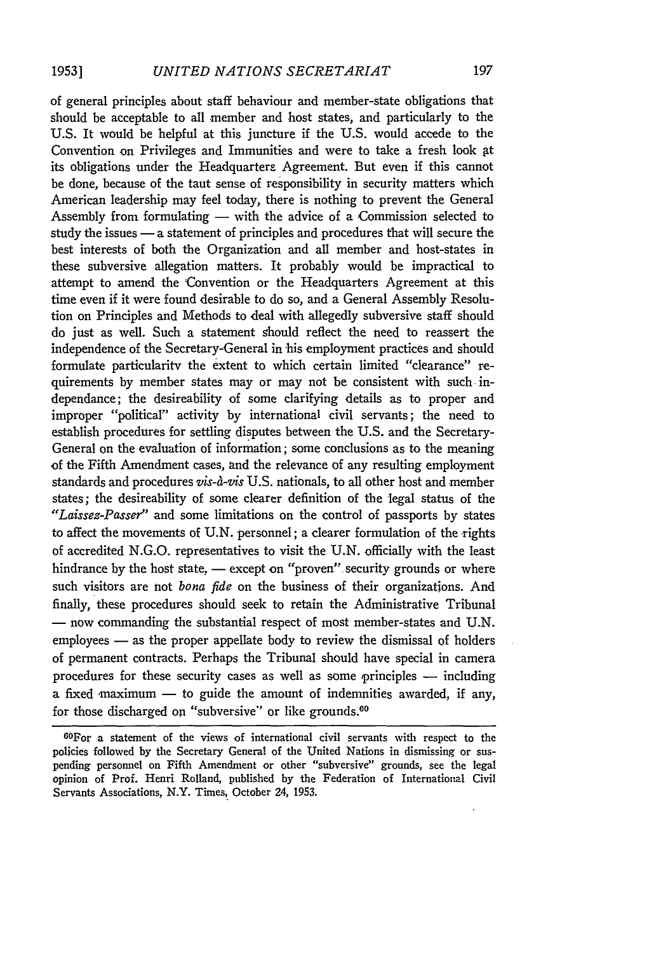of general principles about staff behaviour and member-state obligations that should be acceptable to all member and host states, and particularly to the U.S. It would be helpful at this juncture if the **U.S.** would accede to the Convention on Privileges and Immunities and were to take a fresh look at its obligations under the Headquarters Agreement. But even if this cannot be done, because of the taut sense of responsibility in security matters which American leadership may feel today, there is nothing to prevent the General Assembly from formulating  $-$  with the advice of a Commission selected to study the issues - a statement of principles and procedures that will secure the best interests of both the Organization and all member and host-states in these subversive allegation matters. It probably would be impractical to attempt to amend the Convention or the Headquarters Agreement at this time even if it were found desirable to do so, and a General Assembly Resolution on Principles and Methods to deal with allegedly subversive staff should do just as well. Such a statement should reflect the need to reassert the independence of the Secretary-General in his employment practices and should formulate particularity the extent to which certain limited "clearance" requirements **by** member states may or may not be consistent with such independance; the desireability of some clarifying details as to proper and improper "political" activity **by** international civil servants; the need to establish procedures for settling disputes between the U.S. and the Secretary-General on the evaluation of information; some conclusions as to the meaning of the Fifth Amendment cases, and the relevance of any resulting employment standards and procedures *vis-a-vis* U.S. nationals, to all other host and member states; the desireability of some clearer definition of the legal status of the *"Laissez-Passer"* and some limitations on the control of passports **by** states to affect the movements of U.N. personnel; a clearer formulation of the 'rights of accredited **N.G.O.** representatives to visit the **U.N.** officially with the least hindrance by the host state, - except on "proven" security grounds or where such visitors are not *bona fide* on the business of their organizations. And finally, these procedures should seek to retain the Administrative Tribunal **-** now commanding the substantial respect of most member-states and **U.N.** employees - as the proper appellate body to review the dismissal of holders of permanent contracts. Perhaps the Tribunal should have special in camera procedures for these security cases as well as some principles  $-$  including a fixed  $maximum$   $-$  to guide the amount of indemnities awarded, if any, for those discharged on "subversive" or like grounds.<sup>60</sup>

<sup>60</sup> For a statement of the views of international civil servants with respect to the policies followed by the Secretary General of the United Nations in dismissing or suspending personnel on Fifth Amendment or other "subversive" grounds, see the legal opinion of Prof. Henri Rolland, published by the Federation of International Civil Servants Associations, N.Y. Times, October 24, 1953.